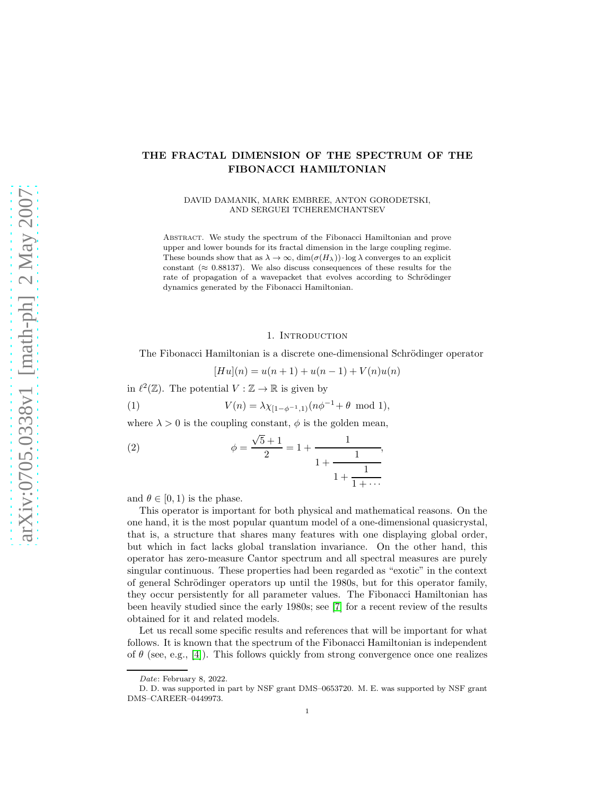# THE FRACTAL DIMENSION OF THE SPECTRUM OF THE FIBONACCI HAMILTONIAN

DAVID DAMANIK, MARK EMBREE, ANTON GORODETSKI, AND SERGUEI TCHEREMCHANTSEV

Abstract. We study the spectrum of the Fibonacci Hamiltonian and prove upper and lower bounds for its fractal dimension in the large coupling regime. These bounds show that as  $\lambda \to \infty$ ,  $\dim(\sigma(H_\lambda)) \cdot \log \lambda$  converges to an explicit constant ( $\approx 0.88137$ ). We also discuss consequences of these results for the rate of propagation of a wavepacket that evolves according to Schrödinger dynamics generated by the Fibonacci Hamiltonian.

#### 1. INTRODUCTION

The Fibonacci Hamiltonian is a discrete one-dimensional Schrödinger operator

$$
[Hu](n) = u(n+1) + u(n-1) + V(n)u(n)
$$

in  $\ell^2(\mathbb{Z})$ . The potential  $V : \mathbb{Z} \to \mathbb{R}$  is given by

(1) 
$$
V(n) = \lambda \chi_{[1-\phi^{-1},1)}(n\phi^{-1} + \theta \mod 1),
$$

where  $\lambda > 0$  is the coupling constant,  $\phi$  is the golden mean,

(2) 
$$
\phi = \frac{\sqrt{5} + 1}{2} = 1 + \frac{1}{1 + \frac{1}{1 + \frac{1}{1 + \dots}}},
$$

and  $\theta \in [0, 1)$  is the phase.

This operator is important for both physical and mathematical reasons. On the one hand, it is the most popular quantum model of a one-dimensional quasicrystal, that is, a structure that shares many features with one displaying global order, but which in fact lacks global translation invariance. On the other hand, this operator has zero-measure Cantor spectrum and all spectral measures are purely singular continuous. These properties had been regarded as "exotic" in the context of general Schrödinger operators up until the 1980s, but for this operator family, they occur persistently for all parameter values. The Fibonacci Hamiltonian has been heavily studied since the early 1980s; see [\[7\]](#page-21-0) for a recent review of the results obtained for it and related models.

Let us recall some specific results and references that will be important for what follows. It is known that the spectrum of the Fibonacci Hamiltonian is independent of  $\theta$  (see, e.g., [\[4\]](#page-21-1)). This follows quickly from strong convergence once one realizes

*Date*: February 8, 2022.

D. D. was supported in part by NSF grant DMS–0653720. M. E. was supported by NSF grant DMS–CAREER–0449973.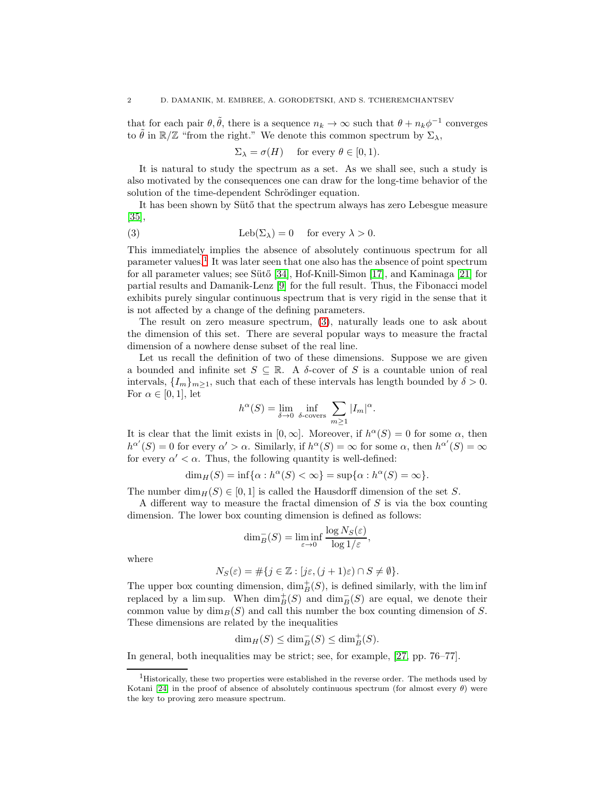that for each pair  $\theta$ ,  $\tilde{\theta}$ , there is a sequence  $n_k \to \infty$  such that  $\theta + n_k \phi^{-1}$  converges to  $\tilde{\theta}$  in  $\mathbb{R}/\mathbb{Z}$  "from the right." We denote this common spectrum by  $\Sigma_{\lambda}$ ,

<span id="page-1-1"></span> $\Sigma_{\lambda} = \sigma(H)$  for every  $\theta \in [0, 1)$ .

It is natural to study the spectrum as a set. As we shall see, such a study is also motivated by the consequences one can draw for the long-time behavior of the solution of the time-dependent Schrödinger equation.

It has been shown by Sütő that the spectrum always has zero Lebesgue measure [\[35\]](#page-22-0),

(3) 
$$
Leb(\Sigma_{\lambda}) = 0 \quad \text{for every } \lambda > 0.
$$

This immediately implies the absence of absolutely continuous spectrum for all parameter values.[1](#page-1-0) It was later seen that one also has the absence of point spectrum for all parameter values; see Sütő [\[34\]](#page-22-1), Hof-Knill-Simon [\[17\]](#page-21-2), and Kaminaga [\[21\]](#page-21-3) for partial results and Damanik-Lenz [\[9\]](#page-21-4) for the full result. Thus, the Fibonacci model exhibits purely singular continuous spectrum that is very rigid in the sense that it is not affected by a change of the defining parameters.

The result on zero measure spectrum, [\(3\)](#page-1-1), naturally leads one to ask about the dimension of this set. There are several popular ways to measure the fractal dimension of a nowhere dense subset of the real line.

Let us recall the definition of two of these dimensions. Suppose we are given a bounded and infinite set  $S \subseteq \mathbb{R}$ . A  $\delta$ -cover of S is a countable union of real intervals,  $\{I_m\}_{m>1}$ , such that each of these intervals has length bounded by  $\delta > 0$ . For  $\alpha \in [0,1]$ , let

$$
h^{\alpha}(S) = \lim_{\delta \to 0} \inf_{\delta \text{- covers}} \sum_{m \ge 1} |I_m|^{\alpha}.
$$

It is clear that the limit exists in  $[0, \infty]$ . Moreover, if  $h^{\alpha}(S) = 0$  for some  $\alpha$ , then  $h^{\alpha'}(S) = 0$  for every  $\alpha' > \alpha$ . Similarly, if  $h^{\alpha}(S) = \infty$  for some  $\alpha$ , then  $h^{\alpha'}(S) = \infty$ for every  $\alpha' < \alpha$ . Thus, the following quantity is well-defined:

$$
\dim_H(S) = \inf \{ \alpha : h^{\alpha}(S) < \infty \} = \sup \{ \alpha : h^{\alpha}(S) = \infty \}.
$$

The number  $\dim_H(S) \in [0, 1]$  is called the Hausdorff dimension of the set S.

A different way to measure the fractal dimension of  $S$  is via the box counting dimension. The lower box counting dimension is defined as follows:

$$
\dim_B^-(S) = \liminf_{\varepsilon \to 0} \frac{\log N_S(\varepsilon)}{\log 1/\varepsilon},
$$

where

$$
N_S(\varepsilon) = \#\{j\in\mathbb{Z}: [j\varepsilon,(j+1)\varepsilon)\cap S\neq \emptyset\}.
$$

The upper box counting dimension,  $\dim_B^+(S)$ , is defined similarly, with the lim inf replaced by a lim sup. When  $\dim_B^+(S)$  and  $\dim_B^-(S)$  are equal, we denote their common value by  $\dim_B(S)$  and call this number the box counting dimension of S. These dimensions are related by the inequalities

$$
\dim_H(S) \le \dim_B^-(S) \le \dim_B^+(S).
$$

In general, both inequalities may be strict; see, for example, [\[27,](#page-22-2) pp. 76–77].

<span id="page-1-0"></span><sup>&</sup>lt;sup>1</sup>Historically, these two properties were established in the reverse order. The methods used by Kotani [\[24\]](#page-21-5) in the proof of absence of absolutely continuous spectrum (for almost every  $\theta$ ) were the key to proving zero measure spectrum.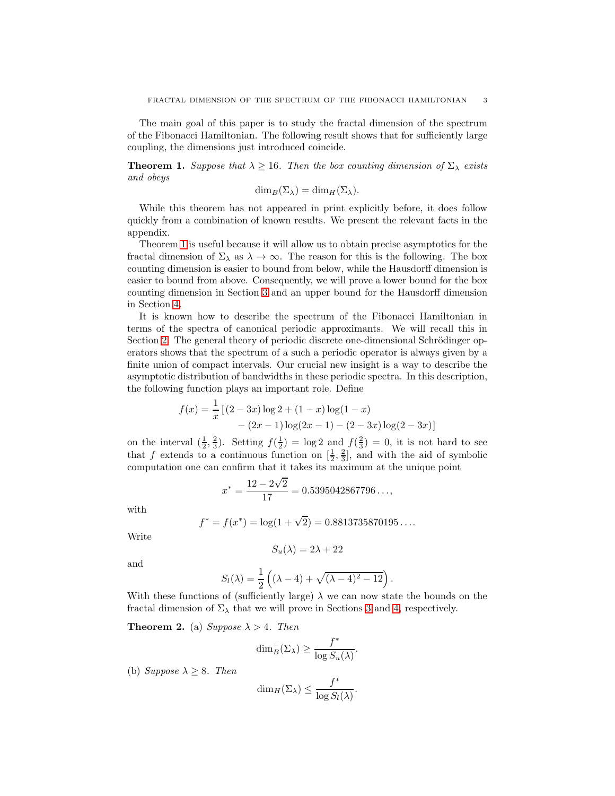The main goal of this paper is to study the fractal dimension of the spectrum of the Fibonacci Hamiltonian. The following result shows that for sufficiently large coupling, the dimensions just introduced coincide.

<span id="page-2-0"></span>**Theorem 1.** Suppose that  $\lambda \geq 16$ . Then the box counting dimension of  $\Sigma_{\lambda}$  exists and obeys

$$
\dim_B(\Sigma_\lambda) = \dim_H(\Sigma_\lambda).
$$

While this theorem has not appeared in print explicitly before, it does follow quickly from a combination of known results. We present the relevant facts in the appendix.

Theorem [1](#page-2-0) is useful because it will allow us to obtain precise asymptotics for the fractal dimension of  $\Sigma_{\lambda}$  as  $\lambda \to \infty$ . The reason for this is the following. The box counting dimension is easier to bound from below, while the Hausdorff dimension is easier to bound from above. Consequently, we will prove a lower bound for the box counting dimension in Section [3](#page-10-0) and an upper bound for the Hausdorff dimension in Section [4.](#page-12-0)

It is known how to describe the spectrum of the Fibonacci Hamiltonian in terms of the spectra of canonical periodic approximants. We will recall this in Section [2.](#page-6-0) The general theory of periodic discrete one-dimensional Schrödinger operators shows that the spectrum of a such a periodic operator is always given by a finite union of compact intervals. Our crucial new insight is a way to describe the asymptotic distribution of bandwidths in these periodic spectra. In this description, the following function plays an important role. Define

$$
f(x) = \frac{1}{x} [(2-3x)\log 2 + (1-x)\log(1-x) - (2x-1)\log(2x-1) - (2-3x)\log(2-3x)]
$$

on the interval  $(\frac{1}{2}, \frac{2}{3})$ . Setting  $f(\frac{1}{2}) = \log 2$  and  $f(\frac{2}{3}) = 0$ , it is not hard to see that f extends to a continuous function on  $[\frac{1}{2}, \frac{2}{3}]$ , and with the aid of symbolic computation one can confirm that it takes its maximum at the unique point

$$
x^* = \frac{12 - 2\sqrt{2}}{17} = 0.5395042867796\ldots,
$$

with

$$
f^* = f(x^*) = \log(1 + \sqrt{2}) = 0.8813735870195...
$$

Write

$$
S_u(\lambda) = 2\lambda + 22
$$

and

$$
S_l(\lambda) = \frac{1}{2} \left( (\lambda - 4) + \sqrt{(\lambda - 4)^2 - 12} \right).
$$

With these functions of (sufficiently large)  $\lambda$  we can now state the bounds on the fractal dimension of  $\Sigma_{\lambda}$  that we will prove in Sections [3](#page-10-0) and [4,](#page-12-0) respectively.

<span id="page-2-1"></span>**Theorem 2.** (a) Suppose  $\lambda > 4$ . Then

$$
\dim_B^-(\Sigma_\lambda) \ge \frac{f^*}{\log S_u(\lambda)}.
$$

(b) Suppose  $\lambda \geq 8$ . Then

$$
\dim_H(\Sigma_\lambda)\leq \frac{f^*}{\log S_l(\lambda)}.
$$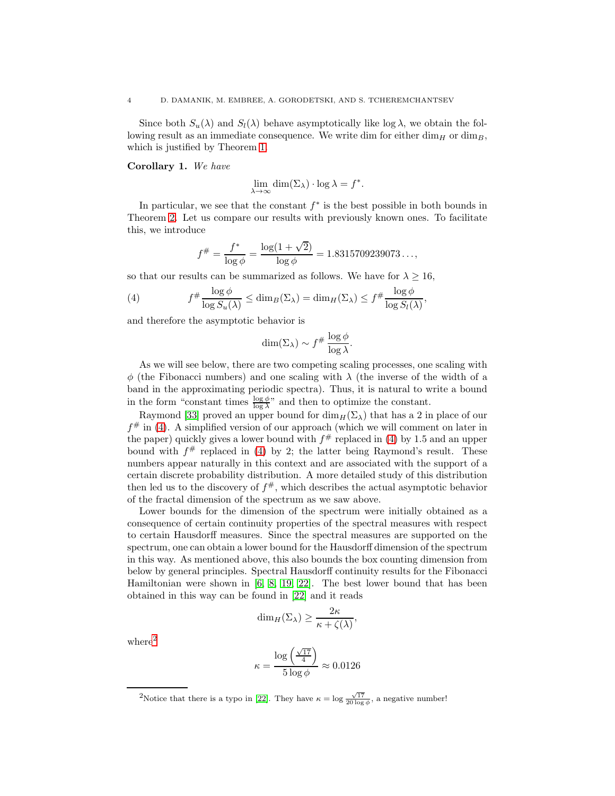Since both  $S_u(\lambda)$  and  $S_l(\lambda)$  behave asymptotically like log  $\lambda$ , we obtain the following result as an immediate consequence. We write dim for either  $\dim_H$  or  $\dim_B$ , which is justified by Theorem [1.](#page-2-0)

Corollary 1. We have

$$
\lim_{\lambda \to \infty} \dim(\Sigma_{\lambda}) \cdot \log \lambda = f^*.
$$

In particular, we see that the constant  $f^*$  is the best possible in both bounds in Theorem [2.](#page-2-1) Let us compare our results with previously known ones. To facilitate this, we introduce

<span id="page-3-0"></span>
$$
f^{\#} = \frac{f^*}{\log \phi} = \frac{\log(1 + \sqrt{2})}{\log \phi} = 1.8315709239073...,
$$

so that our results can be summarized as follows. We have for  $\lambda \geq 16$ ,

(4) 
$$
f^{\#} \frac{\log \phi}{\log S_u(\lambda)} \leq \dim_B(\Sigma_{\lambda}) = \dim_H(\Sigma_{\lambda}) \leq f^{\#} \frac{\log \phi}{\log S_l(\lambda)},
$$

and therefore the asymptotic behavior is

$$
\dim(\Sigma_{\lambda}) \sim f^{\#} \frac{\log \phi}{\log \lambda}.
$$

As we will see below, there are two competing scaling processes, one scaling with  $\phi$  (the Fibonacci numbers) and one scaling with  $\lambda$  (the inverse of the width of a band in the approximating periodic spectra). Thus, it is natural to write a bound in the form "constant times  $\frac{\log \phi}{\log \lambda}$ " and then to optimize the constant.

Raymond [\[33\]](#page-22-3) proved an upper bound for  $\dim_H(\Sigma_\lambda)$  that has a 2 in place of our  $f^{\#}$  in [\(4\)](#page-3-0). A simplified version of our approach (which we will comment on later in the paper) quickly gives a lower bound with  $f^{\#}$  replaced in [\(4\)](#page-3-0) by 1.5 and an upper bound with  $f^{\#}$  replaced in [\(4\)](#page-3-0) by 2; the latter being Raymond's result. These numbers appear naturally in this context and are associated with the support of a certain discrete probability distribution. A more detailed study of this distribution then led us to the discovery of  $f^{\#}$ , which describes the actual asymptotic behavior of the fractal dimension of the spectrum as we saw above.

Lower bounds for the dimension of the spectrum were initially obtained as a consequence of certain continuity properties of the spectral measures with respect to certain Hausdorff measures. Since the spectral measures are supported on the spectrum, one can obtain a lower bound for the Hausdorff dimension of the spectrum in this way. As mentioned above, this also bounds the box counting dimension from below by general principles. Spectral Hausdorff continuity results for the Fibonacci Hamiltonian were shown in [\[6,](#page-21-6) [8,](#page-21-7) [19,](#page-21-8) [22\]](#page-21-9). The best lower bound that has been obtained in this way can be found in [\[22\]](#page-21-9) and it reads

$$
\dim_H(\Sigma_\lambda) \ge \frac{2\kappa}{\kappa + \zeta(\lambda)},
$$

 ${\rm where}^2$  ${\rm where}^2$ 

$$
\kappa = \frac{\log\left(\frac{\sqrt{17}}{4}\right)}{5\log\phi} \approx 0.0126
$$

<span id="page-3-1"></span><sup>2</sup>Notice that there is a typo in [\[22\]](#page-21-9). They have  $\kappa = \log \frac{\sqrt{17}}{20 \log \phi}$ , a negative number!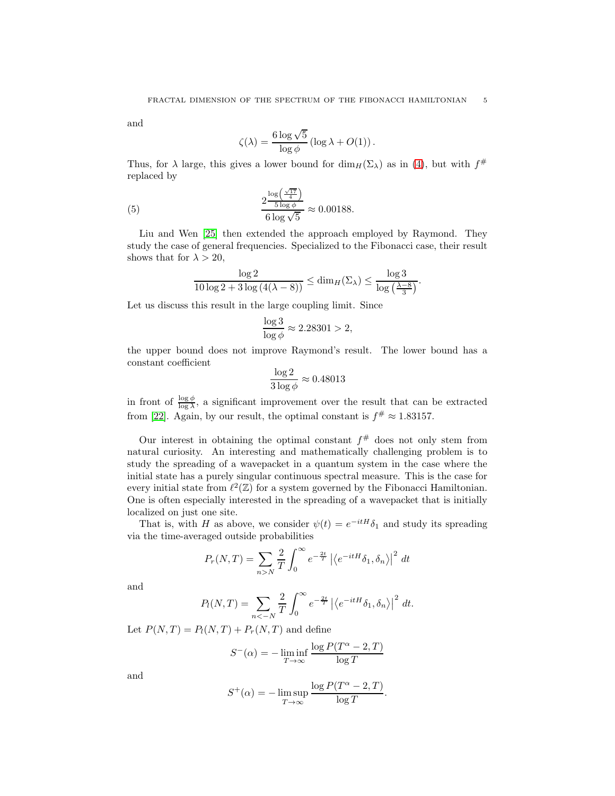and

<span id="page-4-0"></span>
$$
\zeta(\lambda) = \frac{6 \log \sqrt{5}}{\log \phi} \left( \log \lambda + O(1) \right).
$$

Thus, for  $\lambda$  large, this gives a lower bound for  $\dim_H(\Sigma_\lambda)$  as in [\(4\)](#page-3-0), but with  $f^{\#}$ replaced by

(5) 
$$
\frac{2\frac{\log\left(\frac{\sqrt{17}}{4}\right)}{5\log\phi}}{6\log\sqrt{5}} \approx 0.00188.
$$

Liu and Wen [\[25\]](#page-21-10) then extended the approach employed by Raymond. They study the case of general frequencies. Specialized to the Fibonacci case, their result shows that for  $\lambda > 20$ ,

$$
\frac{\log 2}{10\log 2+3\log\left(4(\lambda-8)\right)} \leq \dim_H(\Sigma_\lambda) \leq \frac{\log 3}{\log\left(\frac{\lambda-8}{3}\right)}.
$$

Let us discuss this result in the large coupling limit. Since

$$
\frac{\log 3}{\log \phi} \approx 2.28301 > 2,
$$

the upper bound does not improve Raymond's result. The lower bound has a constant coefficient

$$
\frac{\log 2}{3 \log \phi} \approx 0.48013
$$

in front of  $\frac{\log \phi}{\log \lambda}$ , a significant improvement over the result that can be extracted from [\[22\]](#page-21-9). Again, by our result, the optimal constant is  $f^{\#} \approx 1.83157$ .

Our interest in obtaining the optimal constant  $f^{\#}$  does not only stem from natural curiosity. An interesting and mathematically challenging problem is to study the spreading of a wavepacket in a quantum system in the case where the initial state has a purely singular continuous spectral measure. This is the case for every initial state from  $\ell^2(\mathbb{Z})$  for a system governed by the Fibonacci Hamiltonian. One is often especially interested in the spreading of a wavepacket that is initially localized on just one site.

That is, with H as above, we consider  $\psi(t) = e^{-itH}\delta_1$  and study its spreading via the time-averaged outside probabilities

$$
P_r(N,T) = \sum_{n>N} \frac{2}{T} \int_0^\infty e^{-\frac{2t}{T}} \left| \left\langle e^{-itH} \delta_1, \delta_n \right\rangle \right|^2 dt
$$

and

$$
P_l(N,T) = \sum_{n < -N} \frac{2}{T} \int_0^\infty e^{-\frac{2t}{T}} \left| \left\langle e^{-itH} \delta_1, \delta_n \right\rangle \right|^2 dt.
$$

Let  $P(N,T) = P_l(N,T) + P_r(N,T)$  and define

$$
S^{-}(\alpha) = -\liminf_{T \to \infty} \frac{\log P(T^{\alpha} - 2, T)}{\log T}
$$

and

$$
S^{+}(\alpha) = -\limsup_{T \to \infty} \frac{\log P(T^{\alpha} - 2, T)}{\log T}.
$$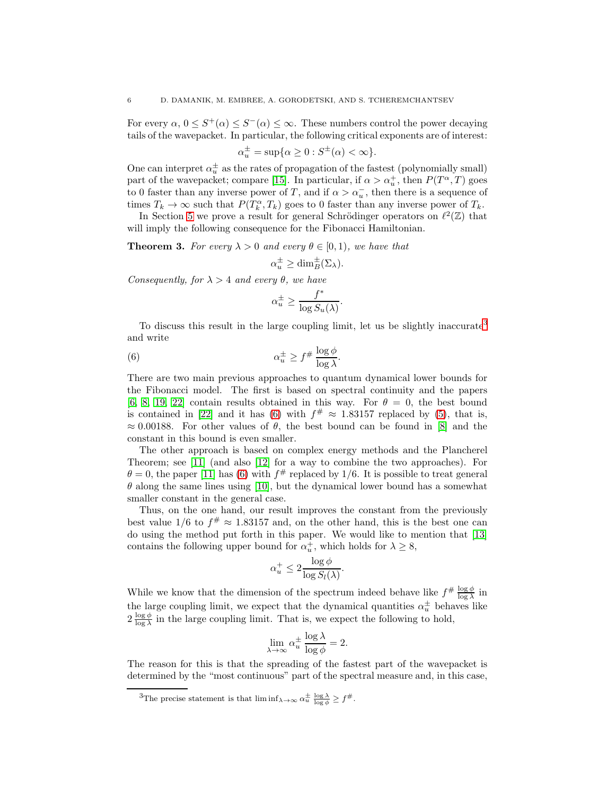For every  $\alpha, 0 \leq S^+(\alpha) \leq S^-(\alpha) \leq \infty$ . These numbers control the power decaying tails of the wavepacket. In particular, the following critical exponents are of interest:

$$
\alpha_u^{\pm} = \sup \{ \alpha \ge 0 : S^{\pm}(\alpha) < \infty \}.
$$

One can interpret  $\alpha_u^{\pm}$  as the rates of propagation of the fastest (polynomially small) part of the wavepacket; compare [\[15\]](#page-21-11). In particular, if  $\alpha > \alpha_u^+$ , then  $P(T^{\alpha}, T)$  goes to 0 faster than any inverse power of T, and if  $\alpha > \alpha_u^-$ , then there is a sequence of times  $T_k \to \infty$  such that  $P(T_k^{\alpha}, T_k)$  goes to 0 faster than any inverse power of  $T_k$ .

In Section [5](#page-13-0) we prove a result for general Schrödinger operators on  $\ell^2(\mathbb{Z})$  that will imply the following consequence for the Fibonacci Hamiltonian.

<span id="page-5-2"></span>**Theorem 3.** For every  $\lambda > 0$  and every  $\theta \in [0, 1)$ , we have that

$$
\alpha_u^{\pm} \ge \dim_B^{\pm}(\Sigma_\lambda).
$$

Consequently, for  $\lambda > 4$  and every  $\theta$ , we have

<span id="page-5-1"></span>
$$
\alpha_u^{\pm} \ge \frac{f^*}{\log S_u(\lambda)}.
$$

To discuss this result in the large coupling limit, let us be slightly inaccurate<sup>[3](#page-5-0)</sup> and write

(6) 
$$
\alpha_u^{\pm} \ge f^{\#} \frac{\log \phi}{\log \lambda}.
$$

There are two main previous approaches to quantum dynamical lower bounds for the Fibonacci model. The first is based on spectral continuity and the papers [\[6,](#page-21-6) [8,](#page-21-7) [19,](#page-21-8) [22\]](#page-21-9) contain results obtained in this way. For  $\theta = 0$ , the best bound is contained in [\[22\]](#page-21-9) and it has [\(6\)](#page-5-1) with  $f^{\#} \approx 1.83157$  replaced by [\(5\)](#page-4-0), that is,  $\approx 0.00188$ . For other values of  $\theta$ , the best bound can be found in [\[8\]](#page-21-7) and the constant in this bound is even smaller.

The other approach is based on complex energy methods and the Plancherel Theorem; see [\[11\]](#page-21-12) (and also [\[12\]](#page-21-13) for a way to combine the two approaches). For  $\theta = 0$ , the paper [\[11\]](#page-21-12) has [\(6\)](#page-5-1) with  $f^{\#}$  replaced by 1/6. It is possible to treat general  $\theta$  along the same lines using [\[10\]](#page-21-14), but the dynamical lower bound has a somewhat smaller constant in the general case.

Thus, on the one hand, our result improves the constant from the previously best value  $1/6$  to  $f^{\#} \approx 1.83157$  and, on the other hand, this is the best one can do using the method put forth in this paper. We would like to mention that [\[13\]](#page-21-15) contains the following upper bound for  $\alpha_u^+$ , which holds for  $\lambda \geq 8$ ,

$$
\alpha_u^+ \le 2 \frac{\log \phi}{\log S_l(\lambda)}.
$$

While we know that the dimension of the spectrum indeed behave like  $f^{\#} \frac{\log \phi}{\log \lambda}$  in the large coupling limit, we expect that the dynamical quantities  $\alpha_u^{\pm}$  behaves like  $2 \frac{\log \phi}{\log \lambda}$  in the large coupling limit. That is, we expect the following to hold,

$$
\lim_{\lambda \to \infty} \alpha_u^{\pm} \frac{\log \lambda}{\log \phi} = 2.
$$

The reason for this is that the spreading of the fastest part of the wavepacket is determined by the "most continuous" part of the spectral measure and, in this case,

<span id="page-5-0"></span><sup>&</sup>lt;sup>3</sup>The precise statement is that  $\liminf_{\lambda \to \infty} \alpha_u^{\pm} \frac{\log \lambda}{\log \phi} \geq f^{\#}$ .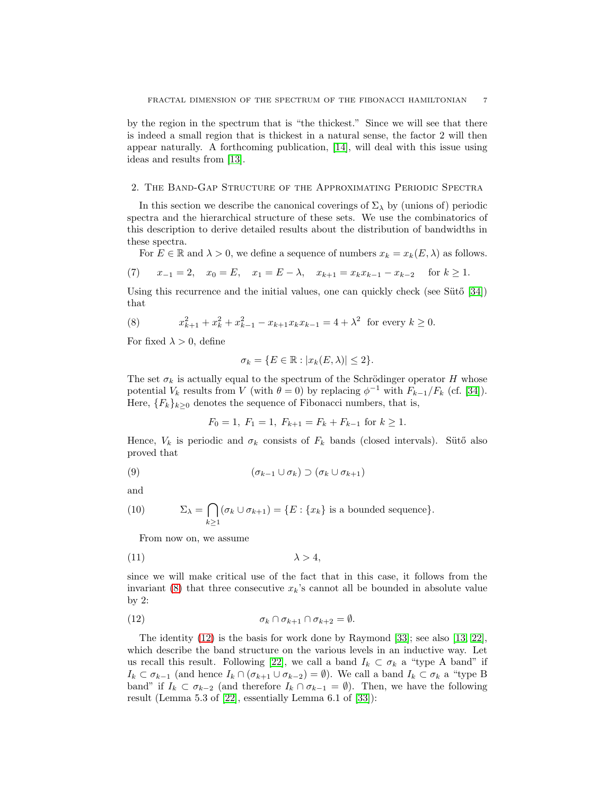by the region in the spectrum that is "the thickest." Since we will see that there is indeed a small region that is thickest in a natural sense, the factor 2 will then appear naturally. A forthcoming publication, [\[14\]](#page-21-16), will deal with this issue using ideas and results from [\[13\]](#page-21-15).

### <span id="page-6-0"></span>2. The Band-Gap Structure of the Approximating Periodic Spectra

In this section we describe the canonical coverings of  $\Sigma_{\lambda}$  by (unions of) periodic spectra and the hierarchical structure of these sets. We use the combinatorics of this description to derive detailed results about the distribution of bandwidths in these spectra.

For  $E \in \mathbb{R}$  and  $\lambda > 0$ , we define a sequence of numbers  $x_k = x_k(E, \lambda)$  as follows.

(7) 
$$
x_{-1} = 2
$$
,  $x_0 = E$ ,  $x_1 = E - \lambda$ ,  $x_{k+1} = x_k x_{k-1} - x_{k-2}$  for  $k \ge 1$ .

Using this recurrence and the initial values, one can quickly check (see Suto  $[34]$ ) that

<span id="page-6-1"></span>(8) 
$$
x_{k+1}^2 + x_k^2 + x_{k-1}^2 - x_{k+1}x_kx_{k-1} = 4 + \lambda^2 \text{ for every } k \ge 0.
$$

For fixed  $\lambda > 0$ , define

$$
\sigma_k = \{ E \in \mathbb{R} : |x_k(E, \lambda)| \le 2 \}.
$$

The set  $\sigma_k$  is actually equal to the spectrum of the Schrödinger operator H whose potential  $V_k$  results from V (with  $\theta = 0$ ) by replacing  $\phi^{-1}$  with  $F_{k-1}/F_k$  (cf. [\[34\]](#page-22-1)). Here,  ${F_k}_{k>0}$  denotes the sequence of Fibonacci numbers, that is,

<span id="page-6-4"></span>
$$
F_0 = 1
$$
,  $F_1 = 1$ ,  $F_{k+1} = F_k + F_{k-1}$  for  $k \ge 1$ .

Hence,  $V_k$  is periodic and  $\sigma_k$  consists of  $F_k$  bands (closed intervals). Sütő also proved that

$$
(9) \qquad \qquad (\sigma_{k-1} \cup \sigma_k) \supset (\sigma_k \cup \sigma_{k+1})
$$

and

(10) 
$$
\Sigma_{\lambda} = \bigcap_{k \ge 1} (\sigma_k \cup \sigma_{k+1}) = \{E : \{x_k\} \text{ is a bounded sequence}\}.
$$

<span id="page-6-3"></span>From now on, we assume

$$
\lambda > 4,
$$

since we will make critical use of the fact that in this case, it follows from the invariant  $(8)$  that three consecutive  $x_k$ 's cannot all be bounded in absolute value by 2:

<span id="page-6-2"></span>(12) 
$$
\sigma_k \cap \sigma_{k+1} \cap \sigma_{k+2} = \emptyset.
$$

The identity [\(12\)](#page-6-2) is the basis for work done by Raymond [\[33\]](#page-22-3); see also [\[13,](#page-21-15) [22\]](#page-21-9), which describe the band structure on the various levels in an inductive way. Let us recall this result. Following [\[22\]](#page-21-9), we call a band  $I_k \subset \sigma_k$  a "type A band" if  $I_k \subset \sigma_{k-1}$  (and hence  $I_k \cap (\sigma_{k+1} \cup \sigma_{k-2}) = \emptyset$ ). We call a band  $I_k \subset \sigma_k$  a "type B band" if  $I_k \subset \sigma_{k-2}$  (and therefore  $I_k \cap \sigma_{k-1} = \emptyset$ ). Then, we have the following result (Lemma 5.3 of [\[22\]](#page-21-9), essentially Lemma 6.1 of [\[33\]](#page-22-3)):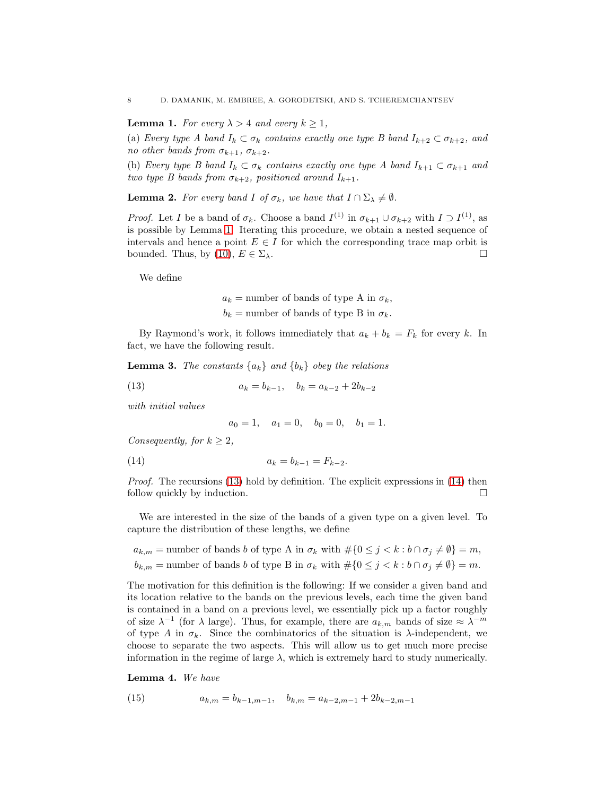<span id="page-7-0"></span>**Lemma 1.** For every  $\lambda > 4$  and every  $k \geq 1$ ,

(a) Every type A band  $I_k \subset \sigma_k$  contains exactly one type B band  $I_{k+2} \subset \sigma_{k+2}$ , and no other bands from  $\sigma_{k+1}$ ,  $\sigma_{k+2}$ .

(b) Every type B band  $I_k \subset \sigma_k$  contains exactly one type A band  $I_{k+1} \subset \sigma_{k+1}$  and two type B bands from  $\sigma_{k+2}$ , positioned around  $I_{k+1}$ .

<span id="page-7-4"></span>**Lemma 2.** For every band I of  $\sigma_k$ , we have that  $I \cap \Sigma_{\lambda} \neq \emptyset$ .

*Proof.* Let I be a band of  $\sigma_k$ . Choose a band  $I^{(1)}$  in  $\sigma_{k+1} \cup \sigma_{k+2}$  with  $I \supset I^{(1)}$ , as is possible by Lemma [1.](#page-7-0) Iterating this procedure, we obtain a nested sequence of intervals and hence a point  $E \in I$  for which the corresponding trace map orbit is bounded. Thus, by (10),  $E \in \Sigma_{\lambda}$ . bounded. Thus, by [\(10\)](#page-6-3),  $E \in \Sigma_{\lambda}$ .

We define

 $a_k$  = number of bands of type A in  $\sigma_k$ ,  $b_k$  = number of bands of type B in  $\sigma_k$ .

By Raymond's work, it follows immediately that  $a_k + b_k = F_k$  for every k. In fact, we have the following result.

**Lemma 3.** The constants  $\{a_k\}$  and  $\{b_k\}$  obey the relations

(13) 
$$
a_k = b_{k-1}, \quad b_k = a_{k-2} + 2b_{k-2}
$$

with initial values

<span id="page-7-2"></span><span id="page-7-1"></span>
$$
a_0 = 1
$$
,  $a_1 = 0$ ,  $b_0 = 0$ ,  $b_1 = 1$ .

Consequently, for  $k \geq 2$ ,

(14) 
$$
a_k = b_{k-1} = F_{k-2}.
$$

Proof. The recursions [\(13\)](#page-7-1) hold by definition. The explicit expressions in [\(14\)](#page-7-2) then follow quickly by induction.

We are interested in the size of the bands of a given type on a given level. To capture the distribution of these lengths, we define

 $a_{k,m}$  = number of bands b of type A in  $\sigma_k$  with  $\#\{0 \leq j < k : b \cap \sigma_j \neq \emptyset\} = m$ ,  $b_{k,m}$  = number of bands b of type B in  $\sigma_k$  with  $\#\{0 \leq j \leq k : b \cap \sigma_j \neq \emptyset\} = m$ .

The motivation for this definition is the following: If we consider a given band and its location relative to the bands on the previous levels, each time the given band is contained in a band on a previous level, we essentially pick up a factor roughly of size  $\lambda^{-1}$  (for  $\lambda$  large). Thus, for example, there are  $a_{k,m}$  bands of size  $\approx \lambda^{-m}$ of type A in  $\sigma_k$ . Since the combinatorics of the situation is  $\lambda$ -independent, we choose to separate the two aspects. This will allow us to get much more precise information in the regime of large  $\lambda$ , which is extremely hard to study numerically.

Lemma 4. We have

<span id="page-7-3"></span>(15) 
$$
a_{k,m} = b_{k-1,m-1}, \quad b_{k,m} = a_{k-2,m-1} + 2b_{k-2,m-1}
$$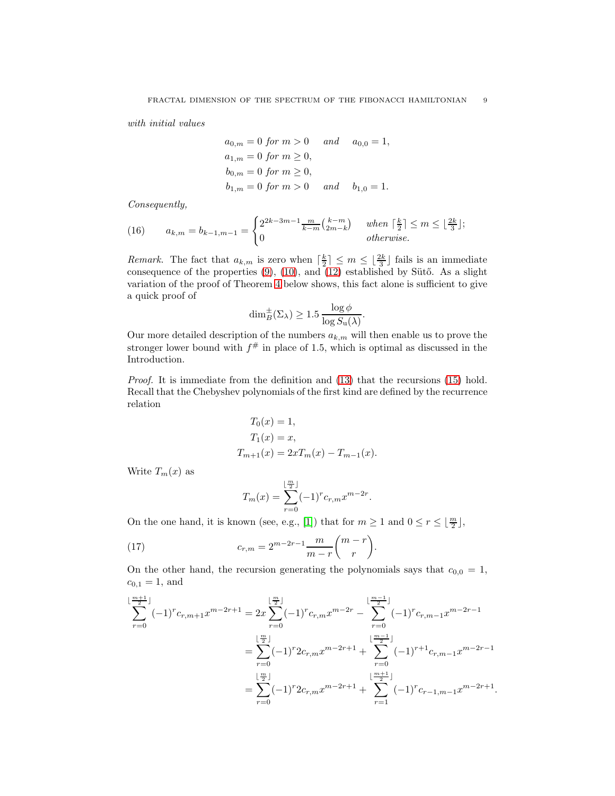with initial values

$$
a_{0,m} = 0 \text{ for } m > 0
$$
 and  $a_{0,0} = 1$ ,  
\n $a_{1,m} = 0 \text{ for } m \ge 0$ ,  
\n $b_{0,m} = 0 \text{ for } m \ge 0$ ,  
\n $b_{1,m} = 0 \text{ for } m > 0$  and  $b_{1,0} = 1$ .

Consequently,

<span id="page-8-1"></span>(16) 
$$
a_{k,m} = b_{k-1,m-1} = \begin{cases} 2^{2k-3m-1} \frac{m}{k-m} {k-m \choose 2m-k} & when  $\lceil \frac{k}{2} \rceil \le m \le \lfloor \frac{2k}{3} \rfloor; \\ 0 & otherwise. \end{cases}$
$$

*Remark.* The fact that  $a_{k,m}$  is zero when  $\left[\frac{k}{2}\right] \leq m \leq \left\lfloor \frac{2k}{3} \right\rfloor$  fails is an immediate consequence of the properties  $(9)$ ,  $(10)$ , and  $(12)$  established by Sütő. As a slight variation of the proof of Theorem [4](#page-11-0) below shows, this fact alone is sufficient to give a quick proof of

$$
\dim_B^{\pm}(\Sigma_{\lambda}) \ge 1.5 \frac{\log \phi}{\log S_{\mathrm{u}}(\lambda)}.
$$

Our more detailed description of the numbers  $a_{k,m}$  will then enable us to prove the stronger lower bound with  $f^{\#}$  in place of 1.5, which is optimal as discussed in the Introduction.

Proof. It is immediate from the definition and [\(13\)](#page-7-1) that the recursions [\(15\)](#page-7-3) hold. Recall that the Chebyshev polynomials of the first kind are defined by the recurrence relation

$$
T_0(x) = 1,
$$
  
\n
$$
T_1(x) = x,
$$
  
\n
$$
T_{m+1}(x) = 2xT_m(x) - T_{m-1}(x).
$$

Write  $T_m(x)$  as

<span id="page-8-0"></span>
$$
T_m(x) = \sum_{r=0}^{\lfloor \frac{m}{2} \rfloor} (-1)^r c_{r,m} x^{m-2r}
$$

.

.

.

On the one hand, it is known (see, e.g., [\[1\]](#page-21-17)) that for  $m \ge 1$  and  $0 \le r \le \lfloor \frac{m}{2} \rfloor$ ,

(17) 
$$
c_{r,m} = 2^{m-2r-1} \frac{m}{m-r} {m-r \choose r}
$$

On the other hand, the recursion generating the polynomials says that  $c_{0,0} = 1$ ,  $c_{0,1} = 1$ , and

$$
\sum_{r=0}^{\lfloor \frac{m+1}{2} \rfloor} (-1)^r c_{r,m+1} x^{m-2r+1} = 2x \sum_{r=0}^{\lfloor \frac{m}{2} \rfloor} (-1)^r c_{r,m} x^{m-2r} - \sum_{r=0}^{\lfloor \frac{m-1}{2} \rfloor} (-1)^r c_{r,m-1} x^{m-2r-1}
$$

$$
= \sum_{r=0}^{\lfloor \frac{m}{2} \rfloor} (-1)^r 2 c_{r,m} x^{m-2r+1} + \sum_{r=0}^{\lfloor \frac{m-1}{2} \rfloor} (-1)^{r+1} c_{r,m-1} x^{m-2r-1}
$$

$$
= \sum_{r=0}^{\lfloor \frac{m}{2} \rfloor} (-1)^r 2 c_{r,m} x^{m-2r+1} + \sum_{r=1}^{\lfloor \frac{m+1}{2} \rfloor} (-1)^r c_{r-1,m-1} x^{m-2r+1}
$$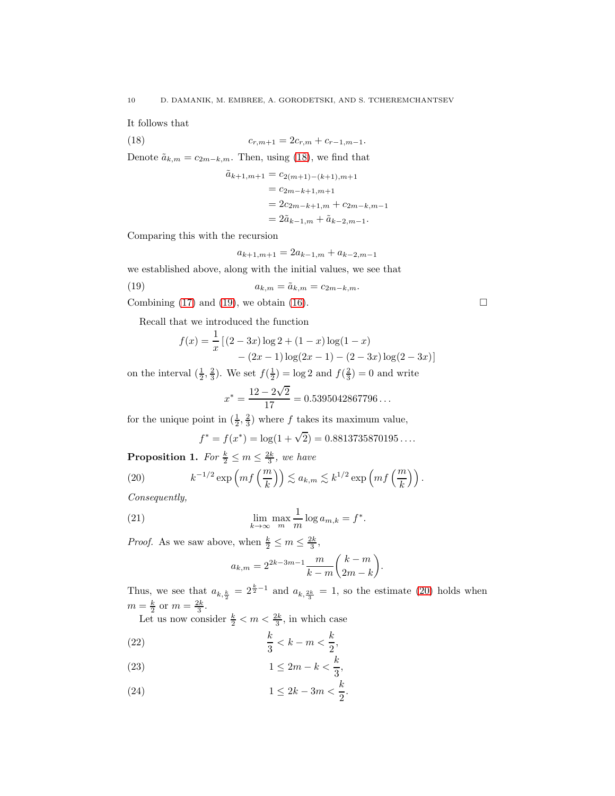It follows that

(18) 
$$
c_{r,m+1} = 2c_{r,m} + c_{r-1,m-1}.
$$

Denote  $\tilde{a}_{k,m} = c_{2m-k,m}$ . Then, using [\(18\)](#page-9-0), we find that

<span id="page-9-0"></span>
$$
\tilde{a}_{k+1,m+1} = c_{2(m+1)-(k+1),m+1}
$$
  
=  $c_{2m-k+1,m+1}$   
=  $2c_{2m-k+1,m} + c_{2m-k,m-1}$   
=  $2\tilde{a}_{k-1,m} + \tilde{a}_{k-2,m-1}$ .

Comparing this with the recursion

<span id="page-9-1"></span>
$$
a_{k+1,m+1} = 2a_{k-1,m} + a_{k-2,m-1}
$$

we established above, along with the initial values, we see that

(19) 
$$
a_{k,m} = \tilde{a}_{k,m} = c_{2m-k,m}.
$$

Combining [\(17\)](#page-8-0) and [\(19\)](#page-9-1), we obtain [\(16\)](#page-8-1).  $\Box$ 

Recall that we introduced the function

$$
f(x) = \frac{1}{x} [(2-3x) \log 2 + (1-x) \log(1-x) - (2x-1) \log(2x-1) - (2-3x) \log(2-3x)]
$$

on the interval  $(\frac{1}{2}, \frac{2}{3})$ . We set  $f(\frac{1}{2}) = \log 2$  and  $f(\frac{2}{3}) = 0$  and write

$$
x^* = \frac{12 - 2\sqrt{2}}{17} = 0.5395042867796...
$$

for the unique point in  $(\frac{1}{2}, \frac{2}{3})$  where f takes its maximum value,

<span id="page-9-2"></span>
$$
f^* = f(x^*) = \log(1 + \sqrt{2}) = 0.8813735870195...
$$

<span id="page-9-6"></span>**Proposition 1.** For  $\frac{k}{2} \le m \le \frac{2k}{3}$ , we have

(20) 
$$
k^{-1/2} \exp\left(mf\left(\frac{m}{k}\right)\right) \lesssim a_{k,m} \lesssim k^{1/2} \exp\left(mf\left(\frac{m}{k}\right)\right).
$$

Consequently,

(21) 
$$
\lim_{k \to \infty} \max_m \frac{1}{m} \log a_{m,k} = f^*.
$$

*Proof.* As we saw above, when  $\frac{k}{2} \le m \le \frac{2k}{3}$ ,

<span id="page-9-5"></span>
$$
a_{k,m} = 2^{2k-3m-1} \frac{m}{k-m} {k-m \choose 2m-k}.
$$

Thus, we see that  $a_{k,\frac{k}{2}} = 2^{\frac{k}{2}-1}$  and  $a_{k,\frac{2k}{3}} = 1$ , so the estimate [\(20\)](#page-9-2) holds when  $m=\frac{k}{2}$  or  $m=\frac{2k}{3}$ .

Let us now consider  $\frac{k}{2} < m < \frac{2k}{3}$ , in which case

<span id="page-9-3"></span>
$$
\frac{k}{3} < k - m < \frac{k}{2},
$$

$$
(23) \t\t\t 1 \le 2m - k < \frac{k}{3},
$$

<span id="page-9-4"></span>(24) 
$$
1 \le 2k - 3m < \frac{k}{2}.
$$

$$
f_{\rm{max}}
$$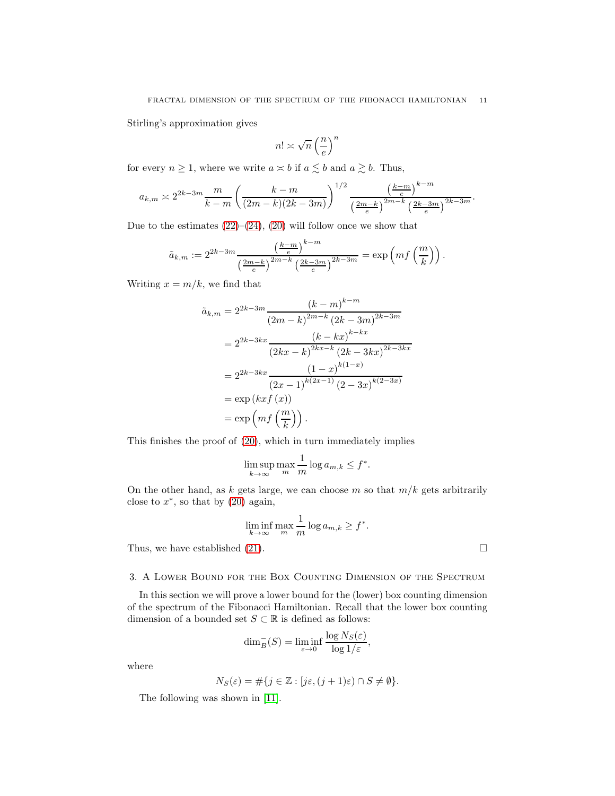Stirling's approximation gives

$$
n! \asymp \sqrt{n} \left(\frac{n}{e}\right)^n
$$

for every  $n \geq 1$ , where we write  $a \approx b$  if  $a \lesssim b$  and  $a \gtrsim b$ . Thus,

$$
a_{k,m} \asymp 2^{2k-3m} \frac{m}{k-m} \left( \frac{k-m}{(2m-k)(2k-3m)} \right)^{1/2} \frac{\left( \frac{k-m}{e} \right)^{k-m}}{\left( \frac{2m-k}{e} \right)^{2m-k} \left( \frac{2k-3m}{e} \right)^{2k-3m}}.
$$

Due to the estimates  $(22)$ – $(24)$ ,  $(20)$  will follow once we show that

$$
\tilde{a}_{k,m} := 2^{2k-3m} \frac{\left(\frac{k-m}{e}\right)^{k-m}}{\left(\frac{2m-k}{e}\right)^{2m-k} \left(\frac{2k-3m}{e}\right)^{2k-3m}} = \exp\left(mf\left(\frac{m}{k}\right)\right).
$$

Writing  $x = m/k$ , we find that

$$
\tilde{a}_{k,m} = 2^{2k-3m} \frac{(k-m)^{k-m}}{(2m-k)^{2m-k} (2k-3m)^{2k-3m}}
$$

$$
= 2^{2k-3kx} \frac{(k-kx)^{k-kx}}{(2kx-k)^{2kx-k} (2k-3kx)^{2k-3kx}}
$$

$$
= 2^{2k-3kx} \frac{(1-x)^{k(1-x)}}{(2x-1)^{k(2x-1)} (2-3x)^{k(2-3x)}}
$$

$$
= \exp\left(kxf(x)\right)
$$

$$
= \exp\left(mf\left(\frac{m}{k}\right)\right).
$$

This finishes the proof of [\(20\)](#page-9-2), which in turn immediately implies

$$
\limsup_{k \to \infty} \max_m \frac{1}{m} \log a_{m,k} \le f^*.
$$

On the other hand, as k gets large, we can choose m so that  $m/k$  gets arbitrarily close to  $x^*$ , so that by  $(20)$  again,

$$
\liminf_{k \to \infty} \max_{m} \frac{1}{m} \log a_{m,k} \ge f^*.
$$

Thus, we have established [\(21\)](#page-9-5).  $\Box$ 

### <span id="page-10-0"></span>3. A Lower Bound for the Box Counting Dimension of the Spectrum

In this section we will prove a lower bound for the (lower) box counting dimension of the spectrum of the Fibonacci Hamiltonian. Recall that the lower box counting dimension of a bounded set  $S \subset \mathbb{R}$  is defined as follows:

$$
\dim_B^-(S) = \liminf_{\varepsilon \to 0} \frac{\log N_S(\varepsilon)}{\log 1/\varepsilon},
$$

where

$$
N_S(\varepsilon) = \#\{j \in \mathbb{Z} : [j\varepsilon, (j+1)\varepsilon) \cap S \neq \emptyset\}.
$$

The following was shown in [\[11\]](#page-21-12).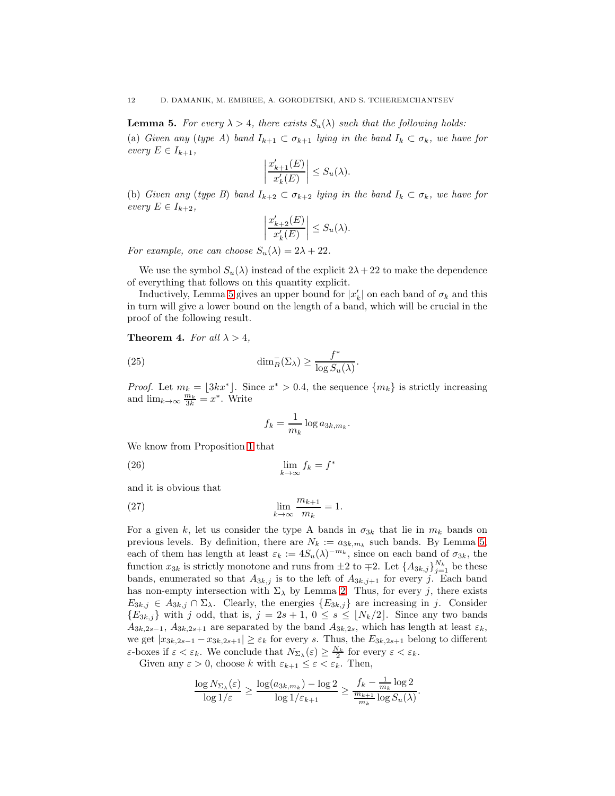<span id="page-11-1"></span>**Lemma 5.** For every  $\lambda > 4$ , there exists  $S_u(\lambda)$  such that the following holds: (a) Given any (type A) band  $I_{k+1} \subset \sigma_{k+1}$  lying in the band  $I_k \subset \sigma_k$ , we have for every  $E \in I_{k+1}$ ,

$$
\left|\frac{x'_{k+1}(E)}{x'_{k}(E)}\right| \le S_u(\lambda).
$$

(b) Given any (type B) band  $I_{k+2} \subset \sigma_{k+2}$  lying in the band  $I_k \subset \sigma_k$ , we have for every  $E \in I_{k+2}$ ,

$$
\left|\frac{x'_{k+2}(E)}{x'_{k}(E)}\right| \le S_u(\lambda).
$$

For example, one can choose  $S_u(\lambda) = 2\lambda + 22$ .

We use the symbol  $S_u(\lambda)$  instead of the explicit  $2\lambda + 22$  to make the dependence of everything that follows on this quantity explicit.

Inductively, Lemma [5](#page-11-1) gives an upper bound for  $|x'_k|$  on each band of  $\sigma_k$  and this in turn will give a lower bound on the length of a band, which will be crucial in the proof of the following result.

<span id="page-11-0"></span>**Theorem 4.** For all  $\lambda > 4$ ,

(25) 
$$
\dim_{B}^{-}(\Sigma_{\lambda}) \geq \frac{f^{*}}{\log S_{u}(\lambda)}
$$

*Proof.* Let  $m_k = \lfloor 3kx^* \rfloor$ . Since  $x^* > 0.4$ , the sequence  $\{m_k\}$  is strictly increasing and  $\lim_{k\to\infty} \frac{m_k}{3k} = x^*$ . Write

.

<span id="page-11-3"></span><span id="page-11-2"></span>
$$
f_k = \frac{1}{m_k} \log a_{3k, m_k}.
$$

We know from Proposition [1](#page-9-6) that

$$
\lim_{k \to \infty} f_k = f^*
$$

and it is obvious that

(27) 
$$
\lim_{k \to \infty} \frac{m_{k+1}}{m_k} = 1.
$$

For a given k, let us consider the type A bands in  $\sigma_{3k}$  that lie in  $m_k$  bands on previous levels. By definition, there are  $N_k := a_{3k,m_k}$  such bands. By Lemma [5,](#page-11-1) each of them has length at least  $\varepsilon_k := 4S_u(\lambda)^{-m_k}$ , since on each band of  $\sigma_{3k}$ , the function  $x_{3k}$  is strictly monotone and runs from  $\pm 2$  to  $\mp 2$ . Let  $\{A_{3k,j}\}_{j=1}^{N_k}$  be these bands, enumerated so that  $A_{3k,j}$  is to the left of  $A_{3k,j+1}$  for every j. Each band has non-empty intersection with  $\Sigma_{\lambda}$  by Lemma [2.](#page-7-4) Thus, for every j, there exists  $E_{3k,j} \in A_{3k,j} \cap \Sigma_{\lambda}$ . Clearly, the energies  $\{E_{3k,j}\}\$ are increasing in j. Consider  ${E_{3k,j}}$  with j odd, that is,  $j = 2s + 1, 0 \le s \le \lfloor N_k/2 \rfloor$ . Since any two bands  $A_{3k,2s-1}, A_{3k,2s+1}$  are separated by the band  $A_{3k,2s}$ , which has length at least  $\varepsilon_k$ , we get  $|x_{3k,2s-1} - x_{3k,2s+1}| \geq \varepsilon_k$  for every s. Thus, the  $E_{3k,2s+1}$  belong to different  $\varepsilon$ -boxes if  $\varepsilon < \varepsilon_k$ . We conclude that  $N_{\Sigma_\lambda}(\varepsilon) \geq \frac{N_k}{2}$  for every  $\varepsilon < \varepsilon_k$ .

Given any  $\varepsilon > 0$ , choose k with  $\varepsilon_{k+1} \leq \varepsilon < \varepsilon_k$ . Then,

$$
\frac{\log N_{\Sigma_\lambda}(\varepsilon)}{\log 1/\varepsilon} \ge \frac{\log (a_{3k,m_k}) - \log 2}{\log 1/\varepsilon_{k+1}} \ge \frac{f_k - \frac{1}{m_k}\log 2}{\frac{m_{k+1}}{m_k}\log S_u(\lambda)}.
$$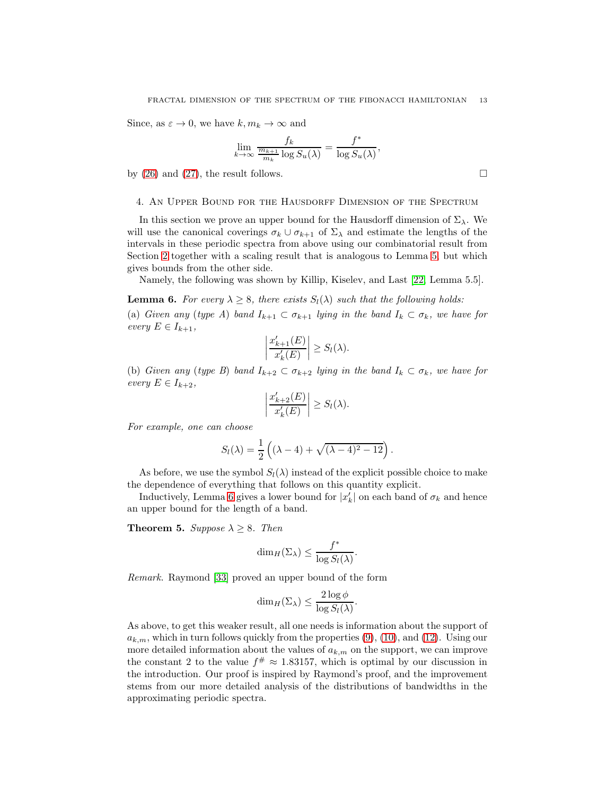Since, as  $\varepsilon \to 0$ , we have  $k, m_k \to \infty$  and

$$
\lim_{k \to \infty} \frac{f_k}{\frac{m_{k+1}}{m_k} \log S_u(\lambda)} = \frac{f^*}{\log S_u(\lambda)},
$$

by [\(26\)](#page-11-2) and [\(27\)](#page-11-3), the result follows.  $\square$ 

#### <span id="page-12-0"></span>4. An Upper Bound for the Hausdorff Dimension of the Spectrum

In this section we prove an upper bound for the Hausdorff dimension of  $\Sigma_{\lambda}$ . We will use the canonical coverings  $\sigma_k \cup \sigma_{k+1}$  of  $\Sigma_\lambda$  and estimate the lengths of the intervals in these periodic spectra from above using our combinatorial result from Section [2](#page-6-0) together with a scaling result that is analogous to Lemma [5,](#page-11-1) but which gives bounds from the other side.

Namely, the following was shown by Killip, Kiselev, and Last [\[22,](#page-21-9) Lemma 5.5].

<span id="page-12-1"></span>**Lemma 6.** For every  $\lambda > 8$ , there exists  $S_l(\lambda)$  such that the following holds: (a) Given any (type A) band  $I_{k+1} \subset \sigma_{k+1}$  lying in the band  $I_k \subset \sigma_k$ , we have for every  $E \in I_{k+1}$ ,

$$
\left|\frac{x'_{k+1}(E)}{x'_{k}(E)}\right| \ge S_{l}(\lambda).
$$

(b) Given any (type B) band  $I_{k+2} \subset \sigma_{k+2}$  lying in the band  $I_k \subset \sigma_k$ , we have for every  $E \in I_{k+2}$ ,

$$
\left|\frac{x'_{k+2}(E)}{x'_{k}(E)}\right| \ge S_{l}(\lambda).
$$

For example, one can choose

$$
S_l(\lambda) = \frac{1}{2} \left( (\lambda - 4) + \sqrt{(\lambda - 4)^2 - 12} \right).
$$

As before, we use the symbol  $S_l(\lambda)$  instead of the explicit possible choice to make the dependence of everything that follows on this quantity explicit.

Inductively, Lemma [6](#page-12-1) gives a lower bound for  $|x'_k|$  on each band of  $\sigma_k$  and hence an upper bound for the length of a band.

<span id="page-12-2"></span>**Theorem 5.** Suppose  $\lambda \geq 8$ . Then

$$
\dim_H(\Sigma_\lambda) \leq \frac{f^*}{\log S_l(\lambda)}.
$$

Remark. Raymond [\[33\]](#page-22-3) proved an upper bound of the form

$$
\dim_H(\Sigma_\lambda) \leq \frac{2\log \phi}{\log S_l(\lambda)}.
$$

As above, to get this weaker result, all one needs is information about the support of  $a_{k,m}$ , which in turn follows quickly from the properties [\(9\)](#page-6-4), [\(10\)](#page-6-3), and [\(12\)](#page-6-2). Using our more detailed information about the values of  $a_{k,m}$  on the support, we can improve the constant 2 to the value  $f^{\#} \approx 1.83157$ , which is optimal by our discussion in the introduction. Our proof is inspired by Raymond's proof, and the improvement stems from our more detailed analysis of the distributions of bandwidths in the approximating periodic spectra.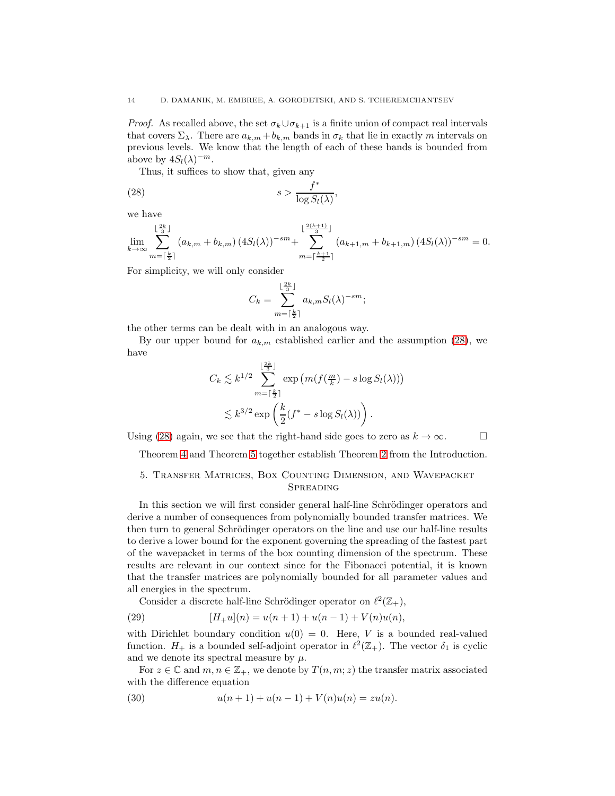*Proof.* As recalled above, the set  $\sigma_k \cup \sigma_{k+1}$  is a finite union of compact real intervals that covers  $\Sigma_{\lambda}$ . There are  $a_{k,m} + b_{k,m}$  bands in  $\sigma_k$  that lie in exactly m intervals on previous levels. We know that the length of each of these bands is bounded from above by  $4S_l(\lambda)^{-m}$ .

Thus, it suffices to show that, given any

(28) 
$$
s > \frac{f^*}{\log S_l(\lambda)},
$$

we have

$$
\lim_{k\to\infty}\sum_{m=\lceil\frac{k}{2}\rceil}^{\lfloor\frac{2k}{3}\rfloor}(a_{k,m}+b_{k,m})\left(4S_l(\lambda)\right)^{-sm}+\sum_{m=\lceil\frac{k+1}{2}\rceil}^{\lfloor\frac{2(k+1)}{3}\rfloor}(a_{k+1,m}+b_{k+1,m})\left(4S_l(\lambda)\right)^{-sm}=0.
$$

For simplicity, we will only consider

<span id="page-13-1"></span>
$$
C_k = \sum_{m=\lceil \frac{k}{2} \rceil}^{\lfloor \frac{2k}{3} \rfloor} a_{k,m} S_l(\lambda)^{-sm};
$$

the other terms can be dealt with in an analogous way.

By our upper bound for  $a_{k,m}$  established earlier and the assumption [\(28\)](#page-13-1), we have

$$
C_k \lesssim k^{1/2} \sum_{m=\lceil \frac{k}{2} \rceil}^{\lfloor \frac{2k}{3} \rfloor} \exp \left(m(f(\frac{m}{k}) - s \log S_l(\lambda))\right)
$$
  

$$
\lesssim k^{3/2} \exp \left(\frac{k}{2} (f^* - s \log S_l(\lambda))\right).
$$

Using [\(28\)](#page-13-1) again, we see that the right-hand side goes to zero as  $k \to \infty$ .

<span id="page-13-0"></span>Theorem [4](#page-11-0) and Theorem [5](#page-12-2) together establish Theorem [2](#page-2-1) from the Introduction.

## 5. Transfer Matrices, Box Counting Dimension, and Wavepacket **SPREADING**

In this section we will first consider general half-line Schrödinger operators and derive a number of consequences from polynomially bounded transfer matrices. We then turn to general Schrödinger operators on the line and use our half-line results to derive a lower bound for the exponent governing the spreading of the fastest part of the wavepacket in terms of the box counting dimension of the spectrum. These results are relevant in our context since for the Fibonacci potential, it is known that the transfer matrices are polynomially bounded for all parameter values and all energies in the spectrum.

<span id="page-13-3"></span>Consider a discrete half-line Schrödinger operator on  $\ell^2(\mathbb{Z}_+)$ ,

(29) 
$$
[H_{+}u](n) = u(n+1) + u(n-1) + V(n)u(n),
$$

with Dirichlet boundary condition  $u(0) = 0$ . Here, V is a bounded real-valued function.  $H_+$  is a bounded self-adjoint operator in  $\ell^2(\mathbb{Z}_+)$ . The vector  $\delta_1$  is cyclic and we denote its spectral measure by  $\mu$ .

For  $z \in \mathbb{C}$  and  $m, n \in \mathbb{Z}_+$ , we denote by  $T(n, m; z)$  the transfer matrix associated with the difference equation

<span id="page-13-2"></span>(30) 
$$
u(n+1) + u(n-1) + V(n)u(n) = zu(n).
$$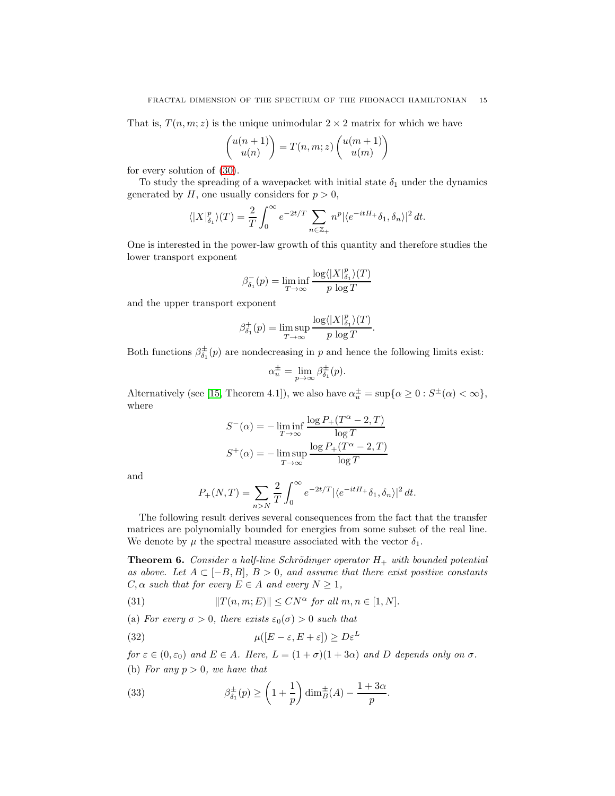That is,  $T(n, m; z)$  is the unique unimodular  $2 \times 2$  matrix for which we have

$$
\begin{pmatrix} u(n+1) \\ u(n) \end{pmatrix} = T(n,m;z) \begin{pmatrix} u(m+1) \\ u(m) \end{pmatrix}
$$

for every solution of [\(30\)](#page-13-2).

To study the spreading of a wavepacket with initial state  $\delta_1$  under the dynamics generated by  $H$ , one usually considers for  $p > 0$ ,

$$
\langle |X|_{\delta_1}^p \rangle(T) = \frac{2}{T} \int_0^\infty e^{-2t/T} \sum_{n \in \mathbb{Z}_+} n^p |\langle e^{-itH_+} \delta_1, \delta_n \rangle|^2 dt.
$$

One is interested in the power-law growth of this quantity and therefore studies the lower transport exponent

$$
\beta_{\delta_1}^-(p) = \liminf_{T \to \infty} \frac{\log \langle |X|_{\delta_1}^p \rangle(T)}{p \log T}
$$

and the upper transport exponent

$$
\beta^+_{\delta_1}(p) = \limsup_{T \to \infty} \frac{\log \langle |X|^p_{\delta_1} \rangle(T)}{p \, \log T}.
$$

Both functions  $\beta_{\delta_1}^{\pm}(p)$  are nondecreasing in p and hence the following limits exist:

$$
\alpha_u^{\pm} = \lim_{p \to \infty} \beta_{\delta_1}^{\pm}(p).
$$

Alternatively (see [\[15,](#page-21-11) Theorem 4.1]), we also have  $\alpha_u^{\pm} = \sup \{ \alpha \geq 0 : S^{\pm}(\alpha) < \infty \},\$ where

$$
S^{-}(\alpha) = -\liminf_{T \to \infty} \frac{\log P_{+}(T^{\alpha} - 2, T)}{\log T}
$$

$$
S^{+}(\alpha) = -\limsup_{T \to \infty} \frac{\log P_{+}(T^{\alpha} - 2, T)}{\log T}
$$

and

$$
P_+(N,T) = \sum_{n>N} \frac{2}{T} \int_0^\infty e^{-2t/T} |\langle e^{-itH_+} \delta_1, \delta_n \rangle|^2 dt.
$$

The following result derives several consequences from the fact that the transfer matrices are polynomially bounded for energies from some subset of the real line. We denote by  $\mu$  the spectral measure associated with the vector  $\delta_1$ .

<span id="page-14-3"></span>**Theorem 6.** Consider a half-line Schrödinger operator  $H_+$  with bounded potential as above. Let  $A \subset [-B, B], B > 0$ , and assume that there exist positive constants  $C, \alpha$  such that for every  $E \in A$  and every  $N \geq 1$ ,

<span id="page-14-2"></span>(31) 
$$
||T(n,m;E)|| \leq CN^{\alpha} \text{ for all } m,n \in [1,N].
$$

(a) For every  $\sigma > 0$ , there exists  $\varepsilon_0(\sigma) > 0$  such that

<span id="page-14-0"></span>(32) 
$$
\mu([E-\varepsilon, E+\varepsilon]) \geq D\varepsilon^{L}
$$

for  $\varepsilon \in (0, \varepsilon_0)$  and  $E \in A$ . Here,  $L = (1 + \sigma)(1 + 3\alpha)$  and D depends only on  $\sigma$ . (b) For any  $p > 0$ , we have that

<span id="page-14-1"></span>(33) 
$$
\beta_{\delta_1}^{\pm}(p) \ge \left(1 + \frac{1}{p}\right) \dim_B^{\pm}(A) - \frac{1 + 3\alpha}{p}.
$$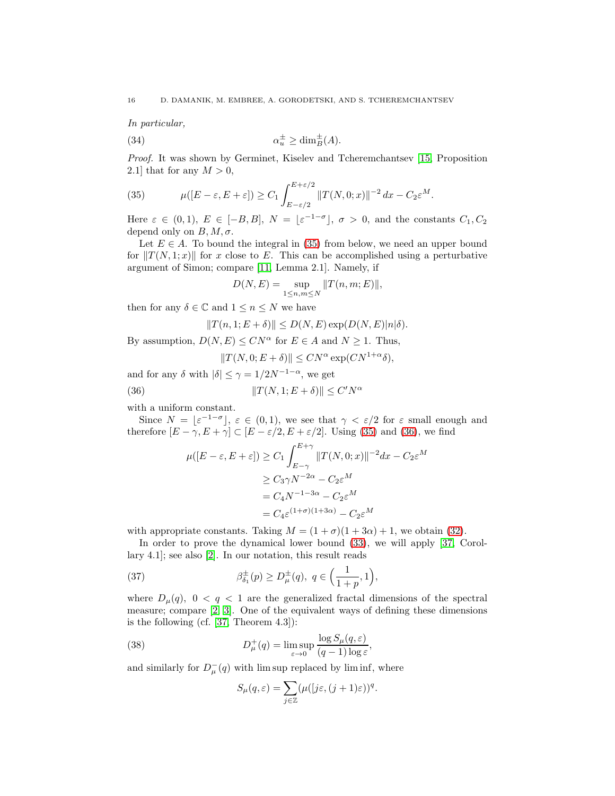In particular,

<span id="page-15-4"></span>(34) 
$$
\alpha_u^{\pm} \ge \dim_B^{\pm}(A).
$$

Proof. It was shown by Germinet, Kiselev and Tcheremchantsev [\[15,](#page-21-11) Proposition 2.1] that for any  $M > 0$ ,

<span id="page-15-0"></span>(35) 
$$
\mu([E-\varepsilon,E+\varepsilon]) \geq C_1 \int_{E-\varepsilon/2}^{E+\varepsilon/2} ||T(N,0;x)||^{-2} dx - C_2 \varepsilon^M.
$$

Here  $\varepsilon \in (0,1)$ ,  $E \in [-B,B]$ ,  $N = \lfloor \varepsilon^{-1-\sigma} \rfloor$ ,  $\sigma > 0$ , and the constants  $C_1, C_2$ depend only on  $B, M, \sigma$ .

Let  $E \in A$ . To bound the integral in [\(35\)](#page-15-0) from below, we need an upper bound for  $||T(N, 1; x)||$  for x close to E. This can be accomplished using a perturbative argument of Simon; compare [\[11,](#page-21-12) Lemma 2.1]. Namely, if

$$
D(N,E)=\sup_{1\leq n,m\leq N}\|T(n,m;E)\|,
$$

then for any  $\delta \in \mathbb{C}$  and  $1 \leq n \leq N$  we have

$$
||T(n, 1; E + \delta)|| \le D(N, E) \exp(D(N, E)|n|\delta).
$$

By assumption,  $D(N, E) \leq C N^{\alpha}$  for  $E \in A$  and  $N \geq 1$ . Thus,

<span id="page-15-1"></span>
$$
||T(N,0;E+\delta)|| \le CN^{\alpha} \exp(CN^{1+\alpha}\delta),
$$

and for any  $\delta$  with  $|\delta| \leq \gamma = 1/2N^{-1-\alpha}$ , we get

(36) 
$$
||T(N, 1; E + \delta)|| \leq C'N^{\alpha}
$$

with a uniform constant.

Since  $N = \lfloor \varepsilon^{-1-\sigma} \rfloor$ ,  $\varepsilon \in (0,1)$ , we see that  $\gamma < \varepsilon/2$  for  $\varepsilon$  small enough and therefore  $[E - \gamma, E + \gamma] \subset [E - \varepsilon/2, E + \varepsilon/2]$ . Using [\(35\)](#page-15-0) and [\(36\)](#page-15-1), we find

$$
\mu([E - \varepsilon, E + \varepsilon]) \ge C_1 \int_{E - \gamma}^{E + \gamma} ||T(N, 0; x)||^{-2} dx - C_2 \varepsilon^M
$$
  

$$
\ge C_3 \gamma N^{-2\alpha} - C_2 \varepsilon^M
$$
  

$$
= C_4 N^{-1 - 3\alpha} - C_2 \varepsilon^M
$$
  

$$
= C_4 \varepsilon^{(1 + \sigma)(1 + 3\alpha)} - C_2 \varepsilon^M
$$

with appropriate constants. Taking  $M = (1 + \sigma)(1 + 3\alpha) + 1$ , we obtain [\(32\)](#page-14-0).

In order to prove the dynamical lower bound [\(33\)](#page-14-1), we will apply [\[37,](#page-22-4) Corollary 4.1]; see also [\[2\]](#page-21-18). In our notation, this result reads

(37) 
$$
\beta_{\delta_1}^{\pm}(p) \ge D_{\mu}^{\pm}(q), \ q \in \left(\frac{1}{1+p}, 1\right),
$$

where  $D_{\mu}(q)$ ,  $0 < q < 1$  are the generalized fractal dimensions of the spectral measure; compare [\[2,](#page-21-18) [3\]](#page-21-19). One of the equivalent ways of defining these dimensions is the following (cf. [\[37,](#page-22-4) Theorem 4.3]):

(38) 
$$
D_{\mu}^{+}(q) = \limsup_{\varepsilon \to 0} \frac{\log S_{\mu}(q, \varepsilon)}{(q-1)\log \varepsilon},
$$

and similarly for  $D_{\mu}^{-}(q)$  with lim sup replaced by lim inf, where

<span id="page-15-3"></span><span id="page-15-2"></span>
$$
S_{\mu}(q,\varepsilon) = \sum_{j\in\mathbb{Z}} (\mu([j\varepsilon, (j+1)\varepsilon))^q.
$$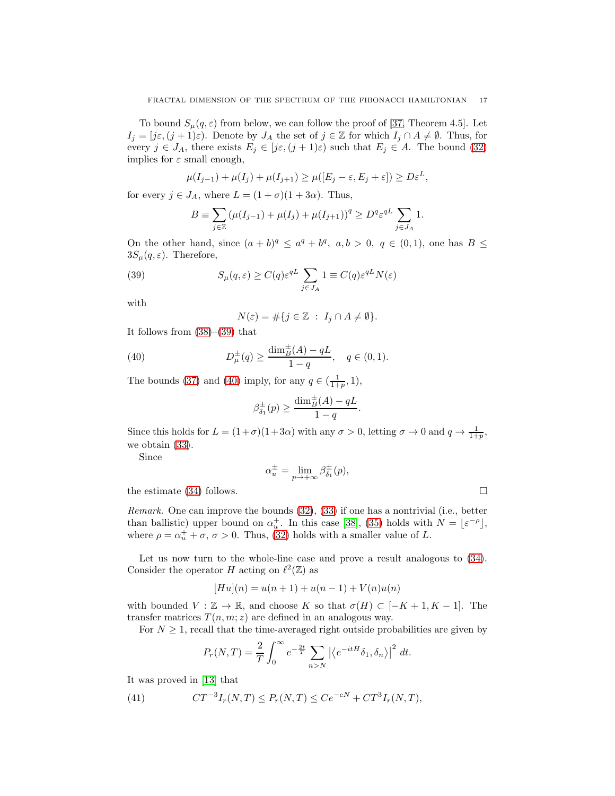To bound  $S_u(q,\varepsilon)$  from below, we can follow the proof of [\[37,](#page-22-4) Theorem 4.5]. Let  $I_j = [j\varepsilon, (j+1)\varepsilon)$ . Denote by  $J_A$  the set of  $j \in \mathbb{Z}$  for which  $I_j \cap A \neq \emptyset$ . Thus, for every  $j \in J_A$ , there exists  $E_j \in [j\varepsilon, (j+1)\varepsilon)$  such that  $E_j \in A$ . The bound [\(32\)](#page-14-0) implies for  $\varepsilon$  small enough,

$$
\mu(I_{j-1}) + \mu(I_j) + \mu(I_{j+1}) \ge \mu([E_j - \varepsilon, E_j + \varepsilon]) \ge D\varepsilon^L,
$$

for every  $j \in J_A$ , where  $L = (1 + \sigma)(1 + 3\alpha)$ . Thus,

$$
B \equiv \sum_{j \in \mathbb{Z}} \left( \mu(I_{j-1}) + \mu(I_j) + \mu(I_{j+1}) \right)^q \ge D^q \varepsilon^{qL} \sum_{j \in J_A} 1.
$$

On the other hand, since  $(a + b)^q \le a^q + b^q$ ,  $a, b > 0$ ,  $q \in (0, 1)$ , one has  $B \le a^q$  $3S_{\mu}(q,\varepsilon)$ . Therefore,

(39) 
$$
S_{\mu}(q,\varepsilon) \ge C(q)\varepsilon^{qL} \sum_{j\in J_A} 1 \equiv C(q)\varepsilon^{qL} N(\varepsilon)
$$

with

<span id="page-16-1"></span><span id="page-16-0"></span>
$$
N(\varepsilon)=\#\{j\in\mathbb{Z}~:~I_j\cap A\neq\emptyset\}.
$$

It follows from  $(38)$ – $(39)$  that

(40) 
$$
D^{\pm}_{\mu}(q) \ge \frac{\dim_{B}^{\pm}(A) - qL}{1 - q}, \quad q \in (0, 1).
$$

The bounds [\(37\)](#page-15-3) and [\(40\)](#page-16-1) imply, for any  $q \in (\frac{1}{1+p}, 1)$ ,

$$
\beta_{\delta_1}^{\pm}(p) \ge \frac{\dim_B^{\pm}(A) - qL}{1 - q}.
$$

Since this holds for  $L = (1+\sigma)(1+3\alpha)$  with any  $\sigma > 0$ , letting  $\sigma \to 0$  and  $q \to \frac{1}{1+p}$ , we obtain [\(33\)](#page-14-1).

Since

$$
\alpha_u^{\pm} = \lim_{p \to +\infty} \beta_{\delta_1}^{\pm}(p),
$$

the estimate [\(34\)](#page-15-4) follows.  $\Box$ 

Remark. One can improve the bounds [\(32\)](#page-14-0), [\(33\)](#page-14-1) if one has a nontrivial (i.e., better than ballistic) upper bound on  $\alpha_u^+$ . In this case [\[38\]](#page-22-5), [\(35\)](#page-15-0) holds with  $N = \lfloor \varepsilon^{-\rho} \rfloor$ , where  $\rho = \alpha_u^+ + \sigma$ ,  $\sigma > 0$ . Thus, [\(32\)](#page-14-0) holds with a smaller value of L.

Let us now turn to the whole-line case and prove a result analogous to  $(34)$ . Consider the operator H acting on  $\ell^2(\mathbb{Z})$  as

$$
[Hu](n) = u(n+1) + u(n-1) + V(n)u(n)
$$

with bounded  $V : \mathbb{Z} \to \mathbb{R}$ , and choose K so that  $\sigma(H) \subset [-K+1, K-1]$ . The transfer matrices  $T(n, m; z)$  are defined in an analogous way.

For  $N \geq 1$ , recall that the time-averaged right outside probabilities are given by

<span id="page-16-2"></span>
$$
P_r(N,T) = \frac{2}{T} \int_0^\infty e^{-\frac{2t}{T}} \sum_{n>N} \left| \left\langle e^{-itH} \delta_1, \delta_n \right\rangle \right|^2 dt.
$$

It was proved in [\[13\]](#page-21-15) that

(41) 
$$
CT^{-3}I_r(N,T) \le P_r(N,T) \le Ce^{-cN} + CT^3I_r(N,T),
$$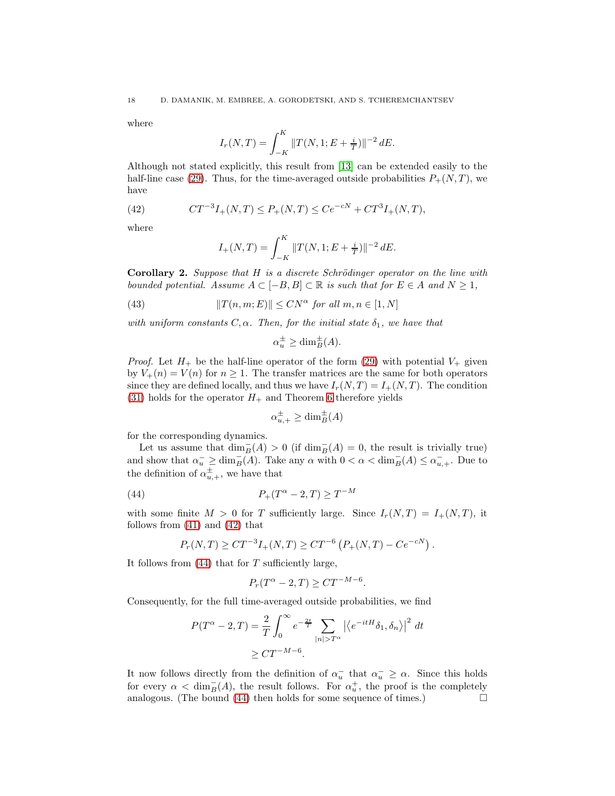where

$$
I_r(N,T) = \int_{-K}^{K} ||T(N,1;E + \frac{i}{T})||^{-2} dE.
$$

Although not stated explicitly, this result from [\[13\]](#page-21-15) can be extended easily to the half-line case [\(29\)](#page-13-3). Thus, for the time-averaged outside probabilities  $P_+(N,T)$ , we have

(42) 
$$
CT^{-3}I_{+}(N,T) \le P_{+}(N,T) \le Ce^{-cN} + CT^{3}I_{+}(N,T),
$$

where

<span id="page-17-0"></span>
$$
I_{+}(N,T) = \int_{-K}^{K} ||T(N,1;E + \frac{i}{T})||^{-2} dE.
$$

**Corollary 2.** Suppose that  $H$  is a discrete Schrödinger operator on the line with bounded potential. Assume  $A \subset [-B, B] \subset \mathbb{R}$  is such that for  $E \in A$  and  $N \geq 1$ ,

(43)  $||T(n, m; E)|| \le CN^{\alpha}$  for all  $m, n \in [1, N]$ 

with uniform constants  $C, \alpha$ . Then, for the initial state  $\delta_1$ , we have that

$$
\alpha_u^{\pm} \ge \dim_B^{\pm}(A).
$$

*Proof.* Let  $H_+$  be the half-line operator of the form [\(29\)](#page-13-3) with potential  $V_+$  given by  $V_+(n) = V(n)$  for  $n \geq 1$ . The transfer matrices are the same for both operators since they are defined locally, and thus we have  $I_r(N,T) = I_+(N,T)$ . The condition [\(31\)](#page-14-2) holds for the operator  $H_+$  and Theorem [6](#page-14-3) therefore yields

<span id="page-17-1"></span>
$$
\alpha_{u,+}^{\pm} \ge \dim_B^{\pm}(A)
$$

for the corresponding dynamics.

Let us assume that  $\dim_B^-(A) > 0$  (if  $\dim_B^-(A) = 0$ , the result is trivially true) and show that  $\alpha^-_u \ge \dim_B^-(A)$ . Take any  $\alpha$  with  $0 < \alpha < \dim_B^-(A) \le \alpha^-_{u,+}$ . Due to the definition of  $\alpha_{u,+}^{\pm}$ , we have that

(44) 
$$
P_{+}(T^{\alpha}-2,T) \geq T^{-M}
$$

with some finite  $M > 0$  for T sufficiently large. Since  $I_r(N,T) = I_+(N,T)$ , it follows from [\(41\)](#page-16-2) and [\(42\)](#page-17-0) that

$$
P_r(N,T) \geq CT^{-3}I_+(N,T) \geq CT^{-6} \left( P_+(N,T) - Ce^{-cN} \right).
$$

It follows from  $(44)$  that for T sufficiently large,

$$
P_r(T^{\alpha}-2,T) \geq CT^{-M-6}.
$$

Consequently, for the full time-averaged outside probabilities, we find

$$
P(T^{\alpha} - 2, T) = \frac{2}{T} \int_0^{\infty} e^{-\frac{2t}{T}} \sum_{|n| > T^{\alpha}} \left| \left\langle e^{-itH} \delta_1, \delta_n \right\rangle \right|^2 dt
$$
  

$$
\geq CT^{-M-6}.
$$

It now follows directly from the definition of  $\alpha_u$  that  $\alpha_u \geq \alpha$ . Since this holds for every  $\alpha < \dim_B^-(A)$ , the result follows. For  $\alpha_u^+$ , the proof is the completely analogous. (The bound  $(44)$  then holds for some sequence of times.)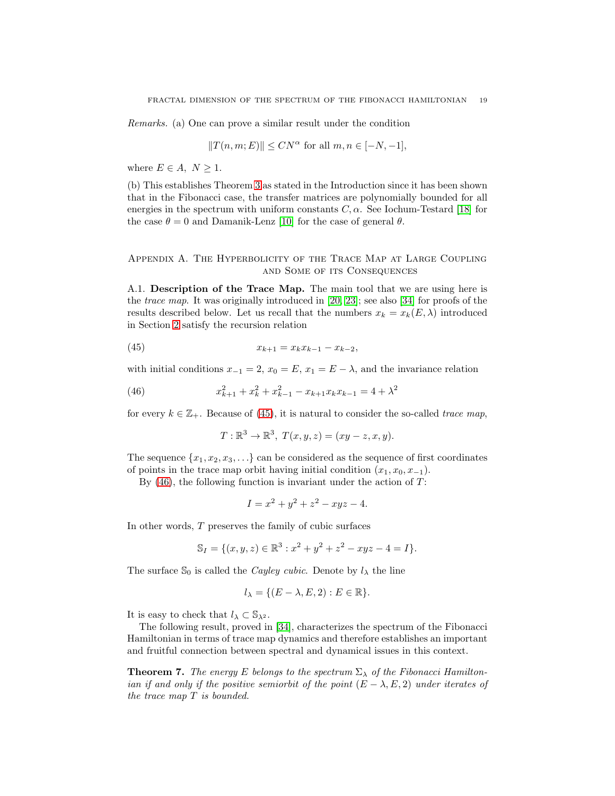Remarks. (a) One can prove a similar result under the condition

$$
||T(n,m;E)||\leq CN^{\alpha}\text{ for all }m,n\in[-N,-1],
$$

where  $E \in A$ ,  $N \geq 1$ .

(b) This establishes Theorem [3](#page-5-2) as stated in the Introduction since it has been shown that in the Fibonacci case, the transfer matrices are polynomially bounded for all energies in the spectrum with uniform constants  $C, \alpha$ . See Iochum-Testard [\[18\]](#page-21-20) for the case  $\theta = 0$  and Damanik-Lenz [\[10\]](#page-21-14) for the case of general  $\theta$ .

Appendix A. The Hyperbolicity of the Trace Map at Large Coupling and Some of its Consequences

A.1. Description of the Trace Map. The main tool that we are using here is the trace map. It was originally introduced in [\[20,](#page-21-21) [23\]](#page-21-22); see also [\[34\]](#page-22-1) for proofs of the results described below. Let us recall that the numbers  $x_k = x_k(E, \lambda)$  introduced in Section [2](#page-6-0) satisfy the recursion relation

(45) 
$$
x_{k+1} = x_k x_{k-1} - x_{k-2},
$$

with initial conditions  $x_{-1} = 2$ ,  $x_0 = E$ ,  $x_1 = E - \lambda$ , and the invariance relation

(46) 
$$
x_{k+1}^2 + x_k^2 + x_{k-1}^2 - x_{k+1}x_kx_{k-1} = 4 + \lambda^2
$$

for every  $k \in \mathbb{Z}_+$ . Because of [\(45\)](#page-18-0), it is natural to consider the so-called trace map,

<span id="page-18-1"></span><span id="page-18-0"></span>
$$
T: \mathbb{R}^3 \to \mathbb{R}^3, T(x, y, z) = (xy - z, x, y).
$$

The sequence  $\{x_1, x_2, x_3, \ldots\}$  can be considered as the sequence of first coordinates of points in the trace map orbit having initial condition  $(x_1, x_0, x_{-1})$ .

By  $(46)$ , the following function is invariant under the action of T:

$$
I = x^2 + y^2 + z^2 - xyz - 4.
$$

In other words,  $T$  preserves the family of cubic surfaces

$$
\mathbb{S}_I = \{(x, y, z) \in \mathbb{R}^3 : x^2 + y^2 + z^2 - xyz - 4 = I\}.
$$

The surface  $\mathbb{S}_0$  is called the *Cayley cubic*. Denote by  $l_{\lambda}$  the line

$$
l_\lambda=\{(E-\lambda,E,2):E\in\mathbb{R}\}.
$$

It is easy to check that  $l_{\lambda} \subset \mathbb{S}_{\lambda^2}$ .

The following result, proved in [\[34\]](#page-22-1), characterizes the spectrum of the Fibonacci Hamiltonian in terms of trace map dynamics and therefore establishes an important and fruitful connection between spectral and dynamical issues in this context.

**Theorem 7.** The energy E belongs to the spectrum  $\Sigma_{\lambda}$  of the Fibonacci Hamiltonian if and only if the positive semiorbit of the point  $(E - \lambda, E, 2)$  under iterates of the trace map T is bounded.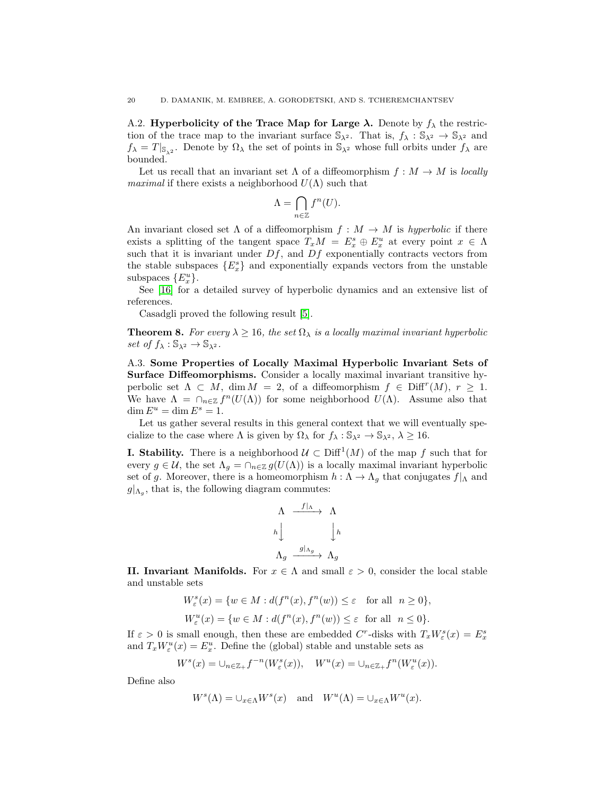A.2. Hyperbolicity of the Trace Map for Large  $\lambda$ . Denote by  $f_{\lambda}$  the restriction of the trace map to the invariant surface  $\mathbb{S}_{\lambda^2}$ . That is,  $f_{\lambda}: \mathbb{S}_{\lambda^2} \to \mathbb{S}_{\lambda^2}$  and  $f_{\lambda} = T |_{\mathbb{S}_{\lambda^2}}$ . Denote by  $\Omega_{\lambda}$  the set of points in  $\mathbb{S}_{\lambda^2}$  whose full orbits under  $f_{\lambda}$  are bounded.

Let us recall that an invariant set  $\Lambda$  of a diffeomorphism  $f : M \to M$  is locally *maximal* if there exists a neighborhood  $U(\Lambda)$  such that

$$
\Lambda = \bigcap_{n \in \mathbb{Z}} f^n(U).
$$

An invariant closed set  $\Lambda$  of a diffeomorphism  $f : M \to M$  is hyperbolic if there exists a splitting of the tangent space  $T_xM = E_x^s \oplus E_x^u$  at every point  $x \in \Lambda$ such that it is invariant under  $Df$ , and  $Df$  exponentially contracts vectors from the stable subspaces  $\{E_x^s\}$  and exponentially expands vectors from the unstable subspaces  ${E_x^u}.$ 

See [\[16\]](#page-21-23) for a detailed survey of hyperbolic dynamics and an extensive list of references.

Casadgli proved the following result [\[5\]](#page-21-24).

<span id="page-19-0"></span>**Theorem 8.** For every  $\lambda \ge 16$ , the set  $\Omega_{\lambda}$  is a locally maximal invariant hyperbolic set of  $f_{\lambda}: \mathbb{S}_{\lambda^2} \to \mathbb{S}_{\lambda^2}$ .

A.3. Some Properties of Locally Maximal Hyperbolic Invariant Sets of Surface Diffeomorphisms. Consider a locally maximal invariant transitive hyperbolic set  $\Lambda \subset M$ ,  $\dim M = 2$ , of a diffeomorphism  $f \in \text{Diff}^{r}(M)$ ,  $r \geq 1$ . We have  $\Lambda = \bigcap_{n \in \mathbb{Z}} f^n(U(\Lambda))$  for some neighborhood  $U(\Lambda)$ . Assume also that  $\dim E^u = \dim E^s = 1.$ 

Let us gather several results in this general context that we will eventually specialize to the case where  $\Lambda$  is given by  $\Omega_{\lambda}$  for  $f_{\lambda}: \mathbb{S}_{\lambda^2} \to \mathbb{S}_{\lambda^2}, \lambda \geq 16$ .

**I. Stability.** There is a neighborhood  $\mathcal{U} \subset \text{Diff}^1(M)$  of the map f such that for every  $g \in \mathcal{U}$ , the set  $\Lambda_g = \cap_{n \in \mathbb{Z}} g(U(\Lambda))$  is a locally maximal invariant hyperbolic set of g. Moreover, there is a homeomorphism  $h : \Lambda \to \Lambda_g$  that conjugates  $f|_{\Lambda}$  and  $g|_{\Lambda_g}$ , that is, the following diagram commutes:

$$
\begin{array}{ccc}\n\Lambda & \xrightarrow{f|\Lambda} & \Lambda \\
h & & \downarrow h \\
\Lambda_g & \xrightarrow{g|\Lambda_g} & \Lambda_g\n\end{array}
$$

II. Invariant Manifolds. For  $x \in \Lambda$  and small  $\varepsilon > 0$ , consider the local stable and unstable sets

$$
\begin{aligned} W^s_\varepsilon(x)&=\{w\in M: d(f^n(x),f^n(w))\leq \varepsilon\quad\text{for all}\ \ n\geq 0\},\\ W^u_\varepsilon(x)&=\{w\in M: d(f^n(x),f^n(w))\leq \varepsilon\ \ \text{for all}\ \ n\leq 0\}. \end{aligned}
$$

If  $\varepsilon > 0$  is small enough, then these are embedded C<sup>r</sup>-disks with  $T_x W^s_{\varepsilon}(x) = E^s_x$ and  $T_x W^u_{\varepsilon}(x) = E^u_x$ . Define the (global) stable and unstable sets as

$$
W^s(x) = \bigcup_{n \in \mathbb{Z}_+} f^{-n}(W^s_{\varepsilon}(x)), \quad W^u(x) = \bigcup_{n \in \mathbb{Z}_+} f^n(W^u_{\varepsilon}(x)).
$$

Define also

$$
W^{s}(\Lambda) = \bigcup_{x \in \Lambda} W^{s}(x) \quad \text{and} \quad W^{u}(\Lambda) = \bigcup_{x \in \Lambda} W^{u}(x).
$$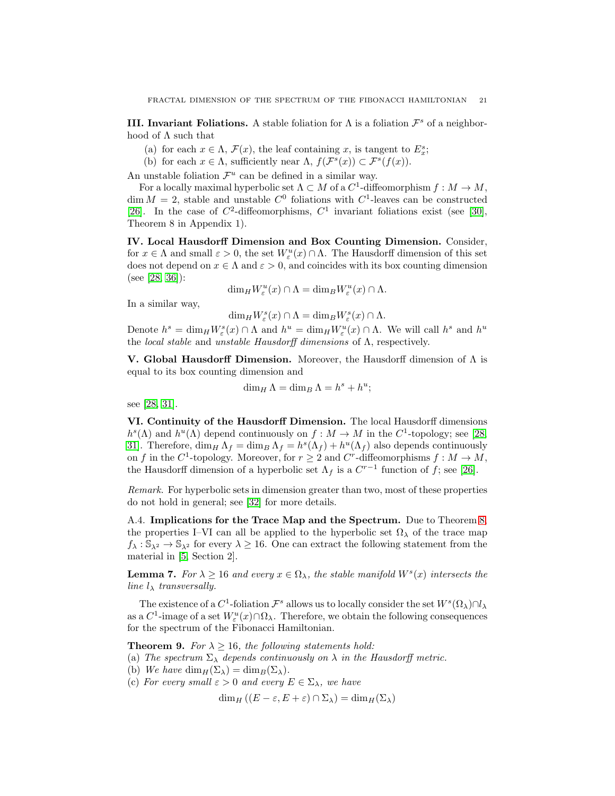**III.** Invariant Foliations. A stable foliation for  $\Lambda$  is a foliation  $\mathcal{F}^s$  of a neighborhood of  $\Lambda$  such that

- (a) for each  $x \in \Lambda$ ,  $\mathcal{F}(x)$ , the leaf containing x, is tangent to  $E_x^s$ ;
- (b) for each  $x \in \Lambda$ , sufficiently near  $\Lambda$ ,  $f(\mathcal{F}^s(x)) \subset \mathcal{F}^s(f(x))$ .

An unstable foliation  $\mathcal{F}^u$  can be defined in a similar way.

For a locally maximal hyperbolic set  $\Lambda \subset M$  of a  $C^1$ -diffeomorphism  $f : M \to M$ ,  $\dim M = 2$ , stable and unstable  $C^0$  foliations with  $C^1$ -leaves can be constructed [\[26\]](#page-22-6). In the case of  $C^2$ -diffeomorphisms,  $C^1$  invariant foliations exist (see [\[30\]](#page-22-7), Theorem 8 in Appendix 1).

IV. Local Hausdorff Dimension and Box Counting Dimension. Consider, for  $x \in \Lambda$  and small  $\varepsilon > 0$ , the set  $W^u_{\varepsilon}(x) \cap \Lambda$ . The Hausdorff dimension of this set does not depend on  $x \in \Lambda$  and  $\varepsilon > 0$ , and coincides with its box counting dimension (see [\[28,](#page-22-8) [36\]](#page-22-9)):

$$
\dim_H W^u_{\varepsilon}(x) \cap \Lambda = \dim_B W^u_{\varepsilon}(x) \cap \Lambda.
$$

In a similar way,

$$
\dim_H W^s_{\varepsilon}(x) \cap \Lambda = \dim_B W^s_{\varepsilon}(x) \cap \Lambda.
$$

Denote  $h^s = \dim_H W^s_{\varepsilon}(x) \cap \Lambda$  and  $h^u = \dim_H W^u_{\varepsilon}(x) \cap \Lambda$ . We will call  $h^s$  and  $h^u$ the *local stable* and *unstable Hausdorff dimensions* of  $\Lambda$ , respectively.

V. Global Hausdorff Dimension. Moreover, the Hausdorff dimension of  $\Lambda$  is equal to its box counting dimension and

$$
\dim_H \Lambda = \dim_B \Lambda = h^s + h^u;
$$

see [\[28,](#page-22-8) [31\]](#page-22-10).

VI. Continuity of the Hausdorff Dimension. The local Hausdorff dimensions  $h^{s}(\Lambda)$  and  $h^{u}(\Lambda)$  depend continuously on  $f: M \to M$  in the  $C^{1}$ -topology; see [\[28,](#page-22-8) [31\]](#page-22-10). Therefore,  $\dim_H \Lambda_f = \dim_B \Lambda_f = h^s(\Lambda_f) + h^u(\Lambda_f)$  also depends continuously on f in the C<sup>1</sup>-topology. Moreover, for  $r \geq 2$  and C<sup>r</sup>-diffeomorphisms  $f : M \to M$ , the Hausdorff dimension of a hyperbolic set  $\Lambda_f$  is a  $C^{r-1}$  function of f; see [\[26\]](#page-22-6).

Remark. For hyperbolic sets in dimension greater than two, most of these properties do not hold in general; see [\[32\]](#page-22-11) for more details.

A.4. Implications for the Trace Map and the Spectrum. Due to Theorem [8,](#page-19-0) the properties I–VI can all be applied to the hyperbolic set  $\Omega_{\lambda}$  of the trace map  $f_{\lambda}: \mathbb{S}_{\lambda^2} \to \mathbb{S}_{\lambda^2}$  for every  $\lambda \geq 16$ . One can extract the following statement from the material in [\[5,](#page-21-24) Section 2].

**Lemma 7.** For  $\lambda \ge 16$  and every  $x \in \Omega_{\lambda}$ , the stable manifold  $W^s(x)$  intersects the line  $l_{\lambda}$  transversally.

The existence of a  $C^1$ -foliation  $\mathcal{F}^s$  allows us to locally consider the set  $W^s(\Omega_\lambda)\cap l_\lambda$ as a  $C^1$ -image of a set  $W^u_{\varepsilon}(x) \cap \Omega_{\lambda}$ . Therefore, we obtain the following consequences for the spectrum of the Fibonacci Hamiltonian.

**Theorem 9.** For  $\lambda \geq 16$ , the following statements hold:

(a) The spectrum  $\Sigma_{\lambda}$  depends continuously on  $\lambda$  in the Hausdorff metric.

(b) We have  $\dim_H(\Sigma_\lambda) = \dim_B(\Sigma_\lambda)$ .

(c) For every small  $\varepsilon > 0$  and every  $E \in \Sigma_{\lambda}$ , we have

 $\dim_H ((E - \varepsilon, E + \varepsilon) \cap \Sigma_\lambda) = \dim_H (\Sigma_\lambda)$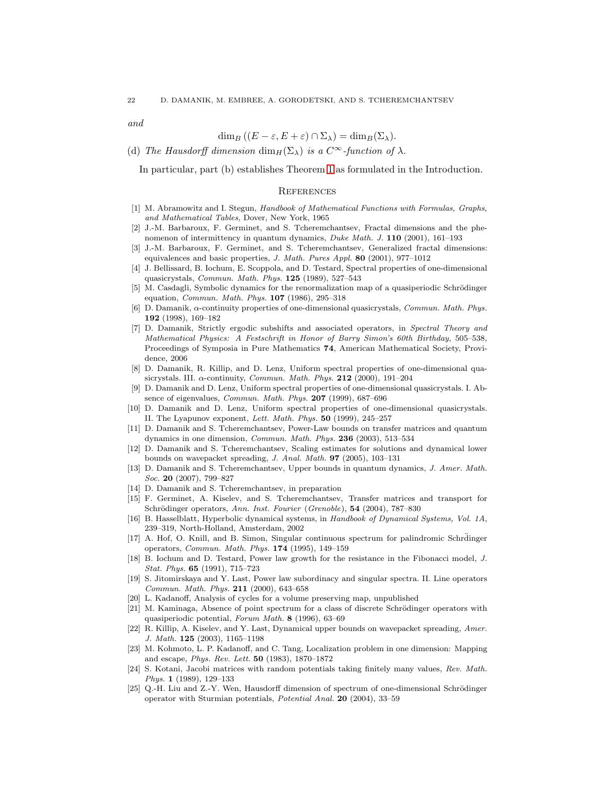and

## $\dim_B ((E - \varepsilon, E + \varepsilon) \cap \Sigma_\lambda) = \dim_B (\Sigma_\lambda).$

(d) The Hausdorff dimension  $\dim_H(\Sigma_\lambda)$  is a  $C^\infty$ -function of  $\lambda$ .

In particular, part (b) establishes Theorem [1](#page-2-0) as formulated in the Introduction.

#### **REFERENCES**

- <span id="page-21-17"></span>[1] M. Abramowitz and I. Stegun, *Handbook of Mathematical Functions with Formulas, Graphs, and Mathematical Tables*, Dover, New York, 1965
- <span id="page-21-18"></span>[2] J.-M. Barbaroux, F. Germinet, and S. Tcheremchantsev, Fractal dimensions and the phenomenon of intermittency in quantum dynamics, *Duke Math. J.* 110 (2001), 161–193
- <span id="page-21-19"></span>[3] J.-M. Barbaroux, F. Germinet, and S. Tcheremchantsev, Generalized fractal dimensions: equivalences and basic properties, *J. Math. Pures Appl.* 80 (2001), 977–1012
- <span id="page-21-1"></span>[4] J. Bellissard, B. Iochum, E. Scoppola, and D. Testard, Spectral properties of one-dimensional quasicrystals, *Commun. Math. Phys.* 125 (1989), 527–543
- <span id="page-21-24"></span>[5] M. Casdagli, Symbolic dynamics for the renormalization map of a quasiperiodic Schrödinger equation, *Commun. Math. Phys.* 107 (1986), 295–318
- <span id="page-21-6"></span>[6] D. Damanik, α-continuity properties of one-dimensional quasicrystals, *Commun. Math. Phys.* 192 (1998), 169–182
- <span id="page-21-0"></span>[7] D. Damanik, Strictly ergodic subshifts and associated operators, in *Spectral Theory and Mathematical Physics: A Festschrift in Honor of Barry Simon's 60th Birthday*, 505–538, Proceedings of Symposia in Pure Mathematics 74, American Mathematical Society, Providence, 2006
- <span id="page-21-7"></span>[8] D. Damanik, R. Killip, and D. Lenz, Uniform spectral properties of one-dimensional quasicrystals. III. α-continuity, *Commun. Math. Phys.* 212 (2000), 191–204
- <span id="page-21-4"></span>[9] D. Damanik and D. Lenz, Uniform spectral properties of one-dimensional quasicrystals. I. Absence of eigenvalues, *Commun. Math. Phys.* 207 (1999), 687–696
- <span id="page-21-14"></span>[10] D. Damanik and D. Lenz, Uniform spectral properties of one-dimensional quasicrystals. II. The Lyapunov exponent, *Lett. Math. Phys.* 50 (1999), 245–257
- <span id="page-21-12"></span>[11] D. Damanik and S. Tcheremchantsev, Power-Law bounds on transfer matrices and quantum dynamics in one dimension, *Commun. Math. Phys.* 236 (2003), 513–534
- <span id="page-21-13"></span>[12] D. Damanik and S. Tcheremchantsev, Scaling estimates for solutions and dynamical lower bounds on wavepacket spreading, *J. Anal. Math.* 97 (2005), 103–131
- <span id="page-21-15"></span>[13] D. Damanik and S. Tcheremchantsev, Upper bounds in quantum dynamics, *J. Amer. Math. Soc.* 20 (2007), 799–827
- <span id="page-21-16"></span><span id="page-21-11"></span>[14] D. Damanik and S. Tcheremchantsev, in preparation
- [15] F. Germinet, A. Kiselev, and S. Tcheremchantsev, Transfer matrices and transport for Schrödinger operators, *Ann. Inst. Fourier* (*Grenoble*), **54** (2004), 787-830
- <span id="page-21-23"></span>[16] B. Hasselblatt, Hyperbolic dynamical systems, in *Handbook of Dynamical Systems, Vol. 1A*, 239–319, North-Holland, Amsterdam, 2002
- <span id="page-21-2"></span>[17] A. Hof, O. Knill, and B. Simon, Singular continuous spectrum for palindromic Schrdinger operators, *Commun. Math. Phys.* 174 (1995), 149–159
- <span id="page-21-20"></span>[18] B. Iochum and D. Testard, Power law growth for the resistance in the Fibonacci model, *J. Stat. Phys.* 65 (1991), 715–723
- <span id="page-21-8"></span>[19] S. Jitomirskaya and Y. Last, Power law subordinacy and singular spectra. II. Line operators *Commun. Math. Phys.* 211 (2000), 643–658
- <span id="page-21-21"></span><span id="page-21-3"></span>[20] L. Kadanoff, Analysis of cycles for a volume preserving map, unpublished
- [21] M. Kaminaga, Absence of point spectrum for a class of discrete Schrödinger operators with quasiperiodic potential, *Forum Math.* 8 (1996), 63–69
- <span id="page-21-9"></span>[22] R. Killip, A. Kiselev, and Y. Last, Dynamical upper bounds on wavepacket spreading, *Amer. J. Math.* 125 (2003), 1165–1198
- <span id="page-21-22"></span>[23] M. Kohmoto, L. P. Kadanoff, and C. Tang, Localization problem in one dimension: Mapping and escape, *Phys. Rev. Lett.* 50 (1983), 1870–1872
- <span id="page-21-5"></span>[24] S. Kotani, Jacobi matrices with random potentials taking finitely many values, *Rev. Math. Phys.* 1 (1989), 129–133
- <span id="page-21-10"></span>[25] Q.-H. Liu and Z.-Y. Wen, Hausdorff dimension of spectrum of one-dimensional Schrödinger operator with Sturmian potentials, *Potential Anal.* 20 (2004), 33–59